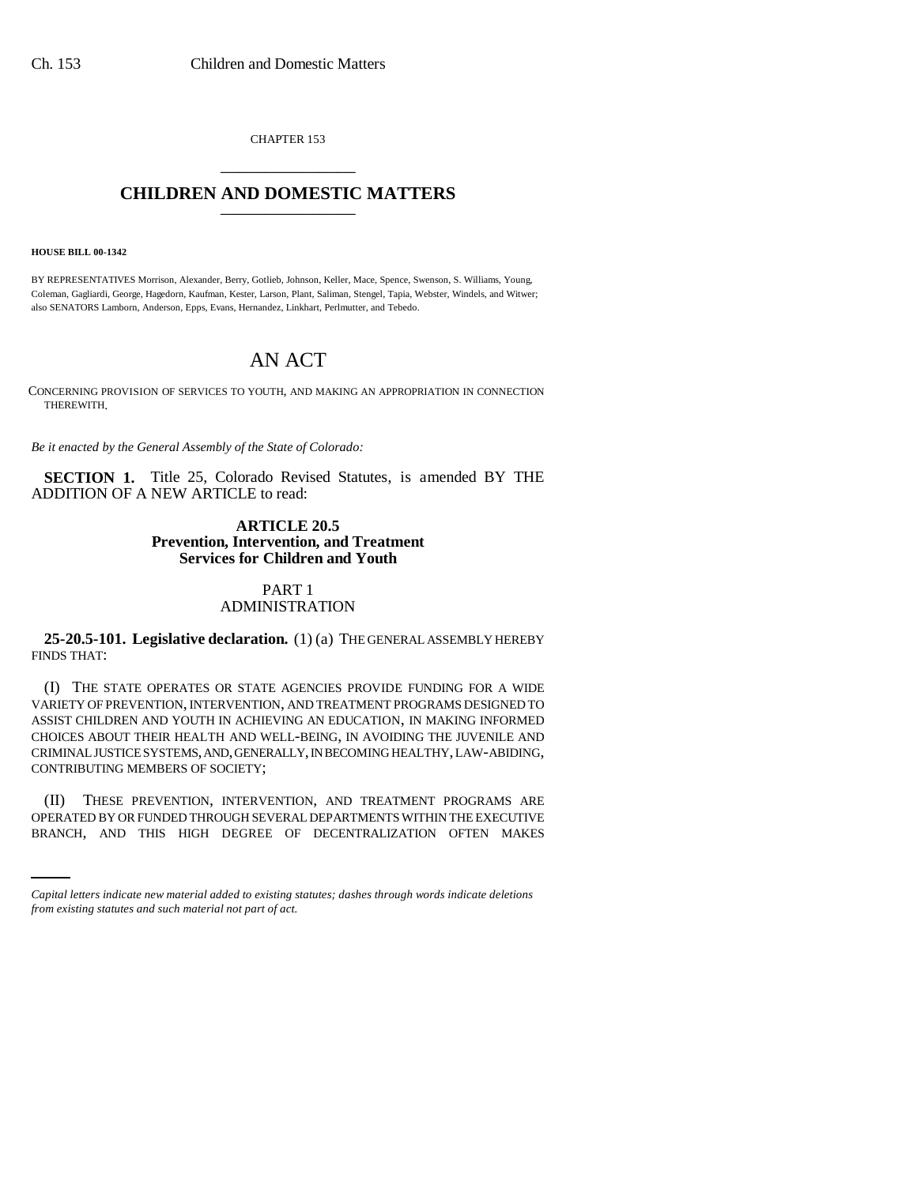CHAPTER 153 \_\_\_\_\_\_\_\_\_\_\_\_\_\_\_

# **CHILDREN AND DOMESTIC MATTERS** \_\_\_\_\_\_\_\_\_\_\_\_\_\_\_

**HOUSE BILL 00-1342** 

BY REPRESENTATIVES Morrison, Alexander, Berry, Gotlieb, Johnson, Keller, Mace, Spence, Swenson, S. Williams, Young, Coleman, Gagliardi, George, Hagedorn, Kaufman, Kester, Larson, Plant, Saliman, Stengel, Tapia, Webster, Windels, and Witwer; also SENATORS Lamborn, Anderson, Epps, Evans, Hernandez, Linkhart, Perlmutter, and Tebedo.

# AN ACT

CONCERNING PROVISION OF SERVICES TO YOUTH, AND MAKING AN APPROPRIATION IN CONNECTION THEREWITH.

*Be it enacted by the General Assembly of the State of Colorado:*

**SECTION 1.** Title 25, Colorado Revised Statutes, is amended BY THE ADDITION OF A NEW ARTICLE to read:

# **ARTICLE 20.5 Prevention, Intervention, and Treatment Services for Children and Youth**

# PART 1 ADMINISTRATION

**25-20.5-101. Legislative declaration.** (1) (a) THE GENERAL ASSEMBLY HEREBY FINDS THAT:

(I) THE STATE OPERATES OR STATE AGENCIES PROVIDE FUNDING FOR A WIDE VARIETY OF PREVENTION, INTERVENTION, AND TREATMENT PROGRAMS DESIGNED TO ASSIST CHILDREN AND YOUTH IN ACHIEVING AN EDUCATION, IN MAKING INFORMED CHOICES ABOUT THEIR HEALTH AND WELL-BEING, IN AVOIDING THE JUVENILE AND CRIMINAL JUSTICE SYSTEMS, AND, GENERALLY, IN BECOMING HEALTHY, LAW-ABIDING, CONTRIBUTING MEMBERS OF SOCIETY;

(II) THESE PREVENTION, INTERVENTION, AND TREATMENT PROGRAMS ARE OPERATED BY OR FUNDED THROUGH SEVERAL DEPARTMENTS WITHIN THE EXECUTIVE BRANCH, AND THIS HIGH DEGREE OF DECENTRALIZATION OFTEN MAKES

*Capital letters indicate new material added to existing statutes; dashes through words indicate deletions from existing statutes and such material not part of act.*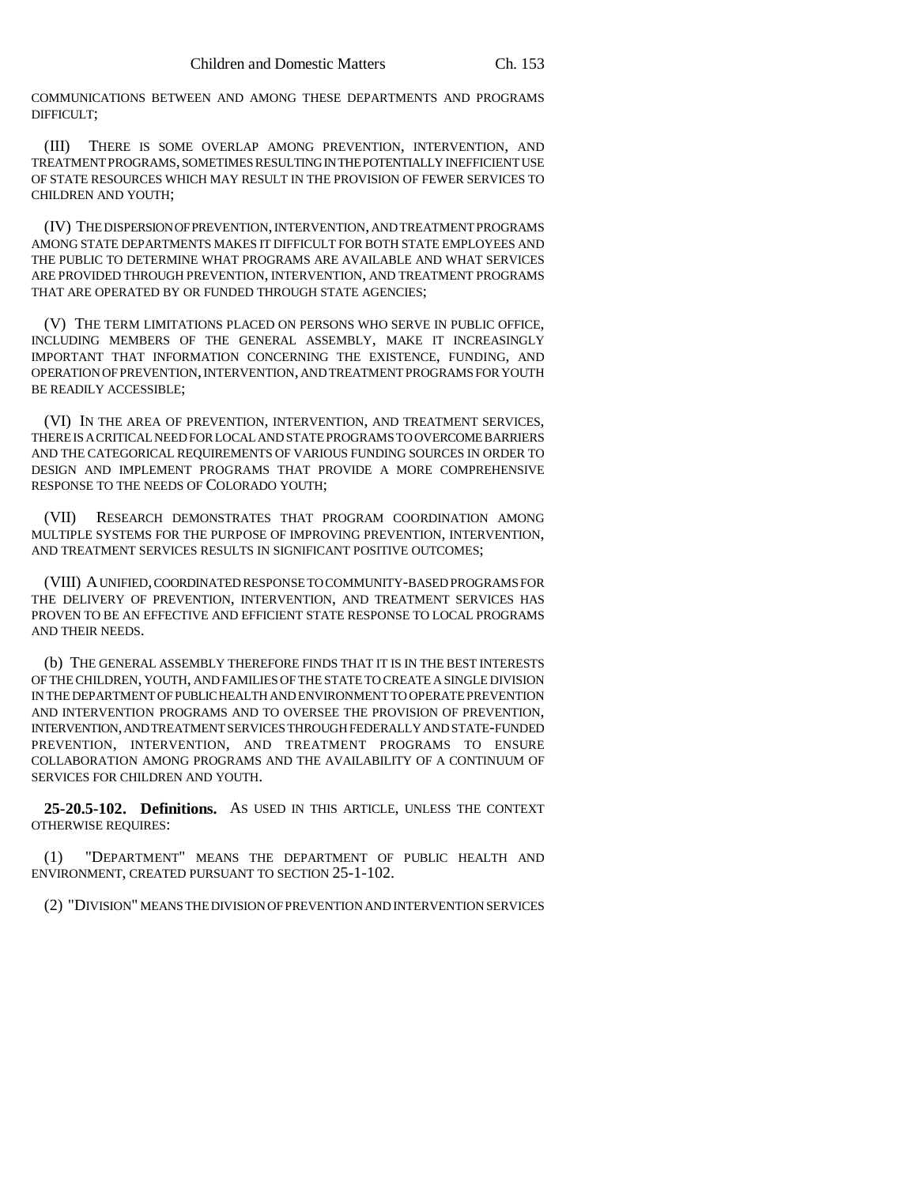COMMUNICATIONS BETWEEN AND AMONG THESE DEPARTMENTS AND PROGRAMS DIFFICULT;

(III) THERE IS SOME OVERLAP AMONG PREVENTION, INTERVENTION, AND TREATMENT PROGRAMS, SOMETIMES RESULTING IN THE POTENTIALLY INEFFICIENT USE OF STATE RESOURCES WHICH MAY RESULT IN THE PROVISION OF FEWER SERVICES TO CHILDREN AND YOUTH;

(IV) THE DISPERSION OF PREVENTION, INTERVENTION, AND TREATMENT PROGRAMS AMONG STATE DEPARTMENTS MAKES IT DIFFICULT FOR BOTH STATE EMPLOYEES AND THE PUBLIC TO DETERMINE WHAT PROGRAMS ARE AVAILABLE AND WHAT SERVICES ARE PROVIDED THROUGH PREVENTION, INTERVENTION, AND TREATMENT PROGRAMS THAT ARE OPERATED BY OR FUNDED THROUGH STATE AGENCIES;

(V) THE TERM LIMITATIONS PLACED ON PERSONS WHO SERVE IN PUBLIC OFFICE, INCLUDING MEMBERS OF THE GENERAL ASSEMBLY, MAKE IT INCREASINGLY IMPORTANT THAT INFORMATION CONCERNING THE EXISTENCE, FUNDING, AND OPERATION OF PREVENTION, INTERVENTION, AND TREATMENT PROGRAMS FOR YOUTH BE READILY ACCESSIBLE;

(VI) IN THE AREA OF PREVENTION, INTERVENTION, AND TREATMENT SERVICES, THERE IS A CRITICAL NEED FOR LOCAL AND STATE PROGRAMS TO OVERCOME BARRIERS AND THE CATEGORICAL REQUIREMENTS OF VARIOUS FUNDING SOURCES IN ORDER TO DESIGN AND IMPLEMENT PROGRAMS THAT PROVIDE A MORE COMPREHENSIVE RESPONSE TO THE NEEDS OF COLORADO YOUTH;

(VII) RESEARCH DEMONSTRATES THAT PROGRAM COORDINATION AMONG MULTIPLE SYSTEMS FOR THE PURPOSE OF IMPROVING PREVENTION, INTERVENTION, AND TREATMENT SERVICES RESULTS IN SIGNIFICANT POSITIVE OUTCOMES;

(VIII) A UNIFIED, COORDINATED RESPONSE TO COMMUNITY-BASED PROGRAMS FOR THE DELIVERY OF PREVENTION, INTERVENTION, AND TREATMENT SERVICES HAS PROVEN TO BE AN EFFECTIVE AND EFFICIENT STATE RESPONSE TO LOCAL PROGRAMS AND THEIR NEEDS.

(b) THE GENERAL ASSEMBLY THEREFORE FINDS THAT IT IS IN THE BEST INTERESTS OF THE CHILDREN, YOUTH, AND FAMILIES OF THE STATE TO CREATE A SINGLE DIVISION IN THE DEPARTMENT OF PUBLIC HEALTH AND ENVIRONMENT TO OPERATE PREVENTION AND INTERVENTION PROGRAMS AND TO OVERSEE THE PROVISION OF PREVENTION, INTERVENTION, AND TREATMENT SERVICES THROUGH FEDERALLY AND STATE-FUNDED PREVENTION, INTERVENTION, AND TREATMENT PROGRAMS TO ENSURE COLLABORATION AMONG PROGRAMS AND THE AVAILABILITY OF A CONTINUUM OF SERVICES FOR CHILDREN AND YOUTH.

**25-20.5-102. Definitions.** AS USED IN THIS ARTICLE, UNLESS THE CONTEXT OTHERWISE REQUIRES:

(1) "DEPARTMENT" MEANS THE DEPARTMENT OF PUBLIC HEALTH AND ENVIRONMENT, CREATED PURSUANT TO SECTION 25-1-102.

(2) "DIVISION" MEANS THE DIVISION OF PREVENTION AND INTERVENTION SERVICES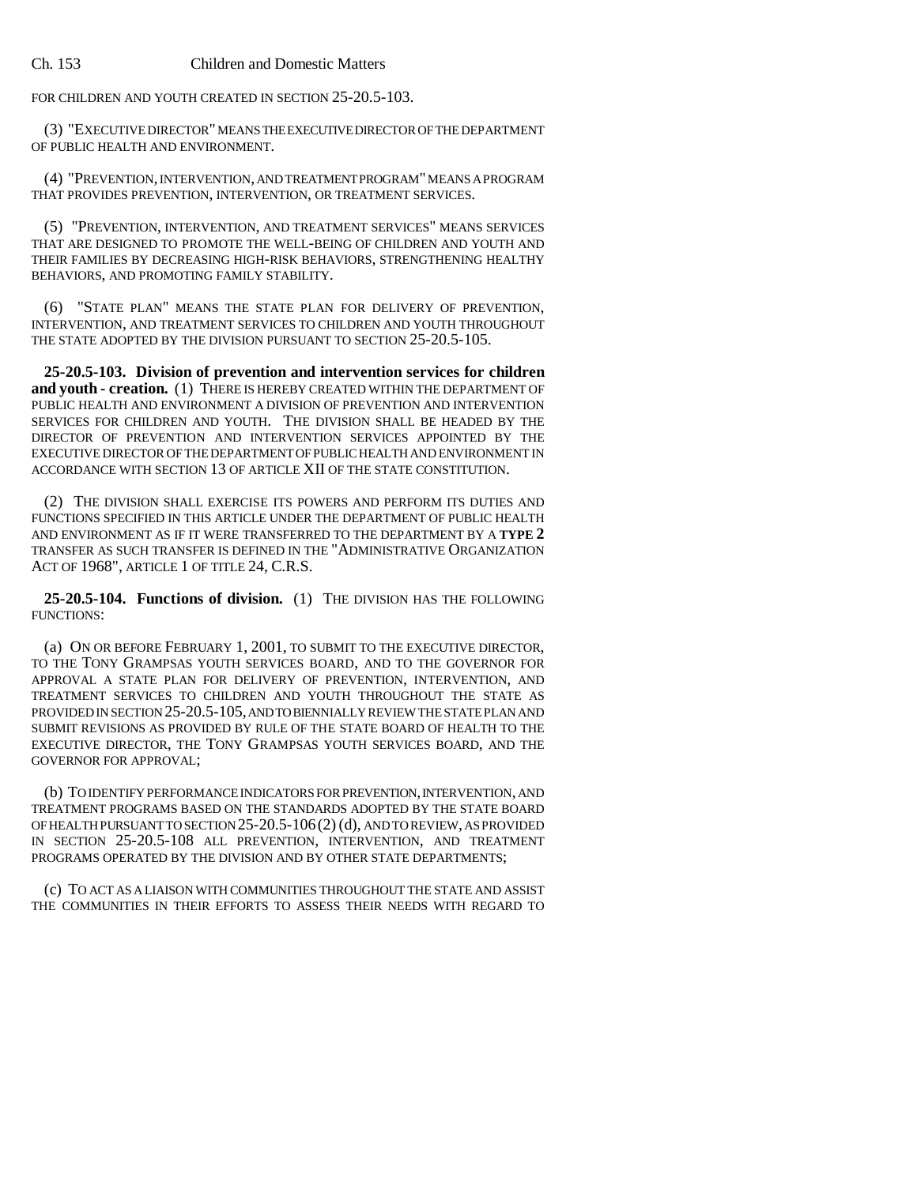FOR CHILDREN AND YOUTH CREATED IN SECTION 25-20.5-103.

(3) "EXECUTIVE DIRECTOR" MEANS THE EXECUTIVE DIRECTOR OF THE DEPARTMENT OF PUBLIC HEALTH AND ENVIRONMENT.

(4) "PREVENTION, INTERVENTION, AND TREATMENT PROGRAM" MEANS A PROGRAM THAT PROVIDES PREVENTION, INTERVENTION, OR TREATMENT SERVICES.

(5) "PREVENTION, INTERVENTION, AND TREATMENT SERVICES" MEANS SERVICES THAT ARE DESIGNED TO PROMOTE THE WELL-BEING OF CHILDREN AND YOUTH AND THEIR FAMILIES BY DECREASING HIGH-RISK BEHAVIORS, STRENGTHENING HEALTHY BEHAVIORS, AND PROMOTING FAMILY STABILITY.

(6) "STATE PLAN" MEANS THE STATE PLAN FOR DELIVERY OF PREVENTION, INTERVENTION, AND TREATMENT SERVICES TO CHILDREN AND YOUTH THROUGHOUT THE STATE ADOPTED BY THE DIVISION PURSUANT TO SECTION 25-20.5-105.

**25-20.5-103. Division of prevention and intervention services for children** and youth - creation. (1) THERE IS HEREBY CREATED WITHIN THE DEPARTMENT OF PUBLIC HEALTH AND ENVIRONMENT A DIVISION OF PREVENTION AND INTERVENTION SERVICES FOR CHILDREN AND YOUTH. THE DIVISION SHALL BE HEADED BY THE DIRECTOR OF PREVENTION AND INTERVENTION SERVICES APPOINTED BY THE EXECUTIVE DIRECTOR OF THE DEPARTMENT OF PUBLIC HEALTH AND ENVIRONMENT IN ACCORDANCE WITH SECTION 13 OF ARTICLE XII OF THE STATE CONSTITUTION.

(2) THE DIVISION SHALL EXERCISE ITS POWERS AND PERFORM ITS DUTIES AND FUNCTIONS SPECIFIED IN THIS ARTICLE UNDER THE DEPARTMENT OF PUBLIC HEALTH AND ENVIRONMENT AS IF IT WERE TRANSFERRED TO THE DEPARTMENT BY A **TYPE 2** TRANSFER AS SUCH TRANSFER IS DEFINED IN THE "ADMINISTRATIVE ORGANIZATION ACT OF 1968", ARTICLE 1 OF TITLE 24, C.R.S.

**25-20.5-104. Functions of division.** (1) THE DIVISION HAS THE FOLLOWING FUNCTIONS:

(a) ON OR BEFORE FEBRUARY 1, 2001, TO SUBMIT TO THE EXECUTIVE DIRECTOR, TO THE TONY GRAMPSAS YOUTH SERVICES BOARD, AND TO THE GOVERNOR FOR APPROVAL A STATE PLAN FOR DELIVERY OF PREVENTION, INTERVENTION, AND TREATMENT SERVICES TO CHILDREN AND YOUTH THROUGHOUT THE STATE AS PROVIDED IN SECTION 25-20.5-105, AND TO BIENNIALLY REVIEW THE STATE PLAN AND SUBMIT REVISIONS AS PROVIDED BY RULE OF THE STATE BOARD OF HEALTH TO THE EXECUTIVE DIRECTOR, THE TONY GRAMPSAS YOUTH SERVICES BOARD, AND THE GOVERNOR FOR APPROVAL;

(b) TO IDENTIFY PERFORMANCE INDICATORS FOR PREVENTION, INTERVENTION, AND TREATMENT PROGRAMS BASED ON THE STANDARDS ADOPTED BY THE STATE BOARD OF HEALTH PURSUANT TO SECTION 25-20.5-106(2) (d), AND TO REVIEW, AS PROVIDED IN SECTION 25-20.5-108 ALL PREVENTION, INTERVENTION, AND TREATMENT PROGRAMS OPERATED BY THE DIVISION AND BY OTHER STATE DEPARTMENTS;

(c) TO ACT AS A LIAISON WITH COMMUNITIES THROUGHOUT THE STATE AND ASSIST THE COMMUNITIES IN THEIR EFFORTS TO ASSESS THEIR NEEDS WITH REGARD TO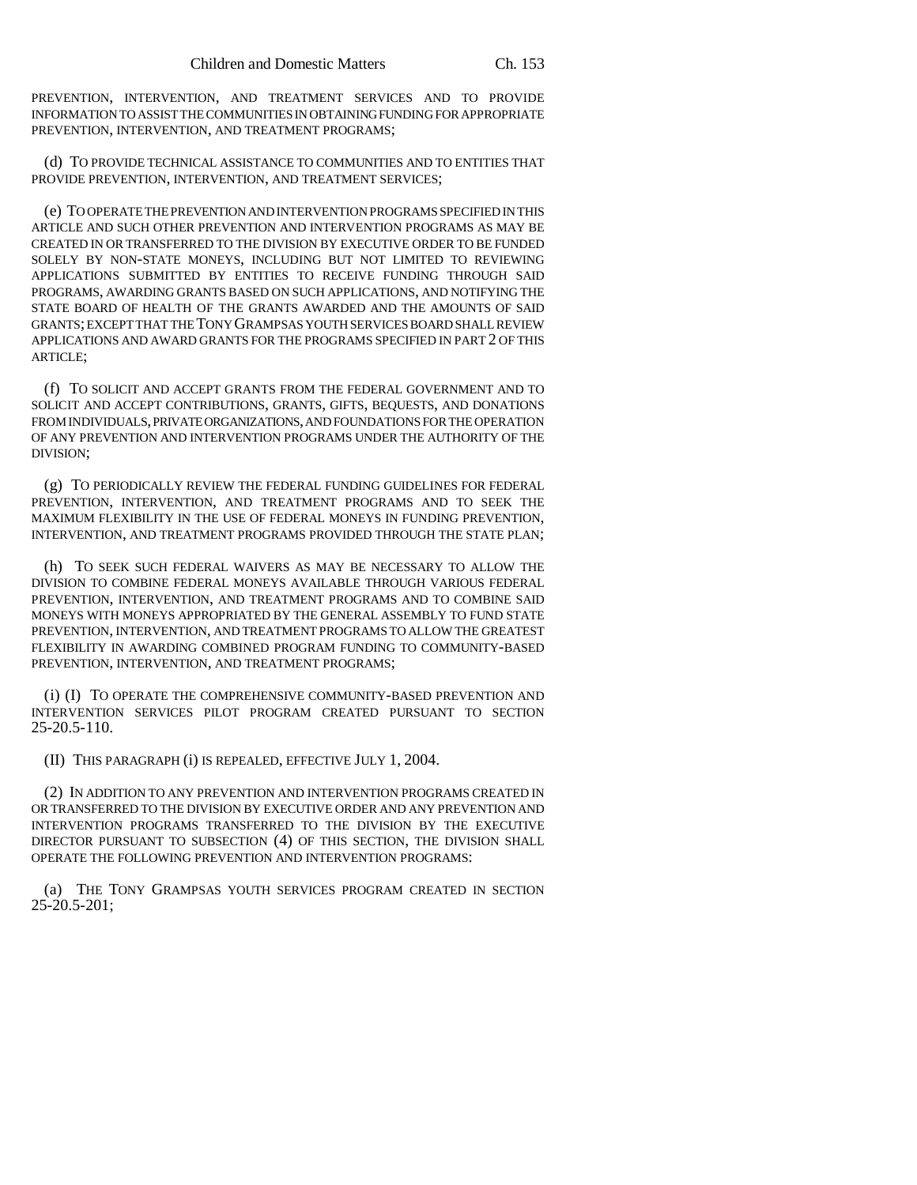PREVENTION, INTERVENTION, AND TREATMENT SERVICES AND TO PROVIDE INFORMATION TO ASSIST THE COMMUNITIES IN OBTAINING FUNDING FOR APPROPRIATE PREVENTION, INTERVENTION, AND TREATMENT PROGRAMS;

(d) TO PROVIDE TECHNICAL ASSISTANCE TO COMMUNITIES AND TO ENTITIES THAT PROVIDE PREVENTION, INTERVENTION, AND TREATMENT SERVICES;

(e) TO OPERATE THE PREVENTION AND INTERVENTION PROGRAMS SPECIFIED IN THIS ARTICLE AND SUCH OTHER PREVENTION AND INTERVENTION PROGRAMS AS MAY BE CREATED IN OR TRANSFERRED TO THE DIVISION BY EXECUTIVE ORDER TO BE FUNDED SOLELY BY NON-STATE MONEYS, INCLUDING BUT NOT LIMITED TO REVIEWING APPLICATIONS SUBMITTED BY ENTITIES TO RECEIVE FUNDING THROUGH SAID PROGRAMS, AWARDING GRANTS BASED ON SUCH APPLICATIONS, AND NOTIFYING THE STATE BOARD OF HEALTH OF THE GRANTS AWARDED AND THE AMOUNTS OF SAID GRANTS; EXCEPT THAT THE TONY GRAMPSAS YOUTH SERVICES BOARD SHALL REVIEW APPLICATIONS AND AWARD GRANTS FOR THE PROGRAMS SPECIFIED IN PART 2 OF THIS ARTICLE;

(f) TO SOLICIT AND ACCEPT GRANTS FROM THE FEDERAL GOVERNMENT AND TO SOLICIT AND ACCEPT CONTRIBUTIONS, GRANTS, GIFTS, BEQUESTS, AND DONATIONS FROM INDIVIDUALS, PRIVATE ORGANIZATIONS, AND FOUNDATIONS FOR THE OPERATION OF ANY PREVENTION AND INTERVENTION PROGRAMS UNDER THE AUTHORITY OF THE DIVISION;

(g) TO PERIODICALLY REVIEW THE FEDERAL FUNDING GUIDELINES FOR FEDERAL PREVENTION, INTERVENTION, AND TREATMENT PROGRAMS AND TO SEEK THE MAXIMUM FLEXIBILITY IN THE USE OF FEDERAL MONEYS IN FUNDING PREVENTION, INTERVENTION, AND TREATMENT PROGRAMS PROVIDED THROUGH THE STATE PLAN;

(h) TO SEEK SUCH FEDERAL WAIVERS AS MAY BE NECESSARY TO ALLOW THE DIVISION TO COMBINE FEDERAL MONEYS AVAILABLE THROUGH VARIOUS FEDERAL PREVENTION, INTERVENTION, AND TREATMENT PROGRAMS AND TO COMBINE SAID MONEYS WITH MONEYS APPROPRIATED BY THE GENERAL ASSEMBLY TO FUND STATE PREVENTION, INTERVENTION, AND TREATMENT PROGRAMS TO ALLOW THE GREATEST FLEXIBILITY IN AWARDING COMBINED PROGRAM FUNDING TO COMMUNITY-BASED PREVENTION, INTERVENTION, AND TREATMENT PROGRAMS;

(i) (I) TO OPERATE THE COMPREHENSIVE COMMUNITY-BASED PREVENTION AND INTERVENTION SERVICES PILOT PROGRAM CREATED PURSUANT TO SECTION 25-20.5-110.

(II) THIS PARAGRAPH (i) IS REPEALED, EFFECTIVE JULY 1, 2004.

(2) IN ADDITION TO ANY PREVENTION AND INTERVENTION PROGRAMS CREATED IN OR TRANSFERRED TO THE DIVISION BY EXECUTIVE ORDER AND ANY PREVENTION AND INTERVENTION PROGRAMS TRANSFERRED TO THE DIVISION BY THE EXECUTIVE DIRECTOR PURSUANT TO SUBSECTION (4) OF THIS SECTION, THE DIVISION SHALL OPERATE THE FOLLOWING PREVENTION AND INTERVENTION PROGRAMS:

(a) THE TONY GRAMPSAS YOUTH SERVICES PROGRAM CREATED IN SECTION 25-20.5-201;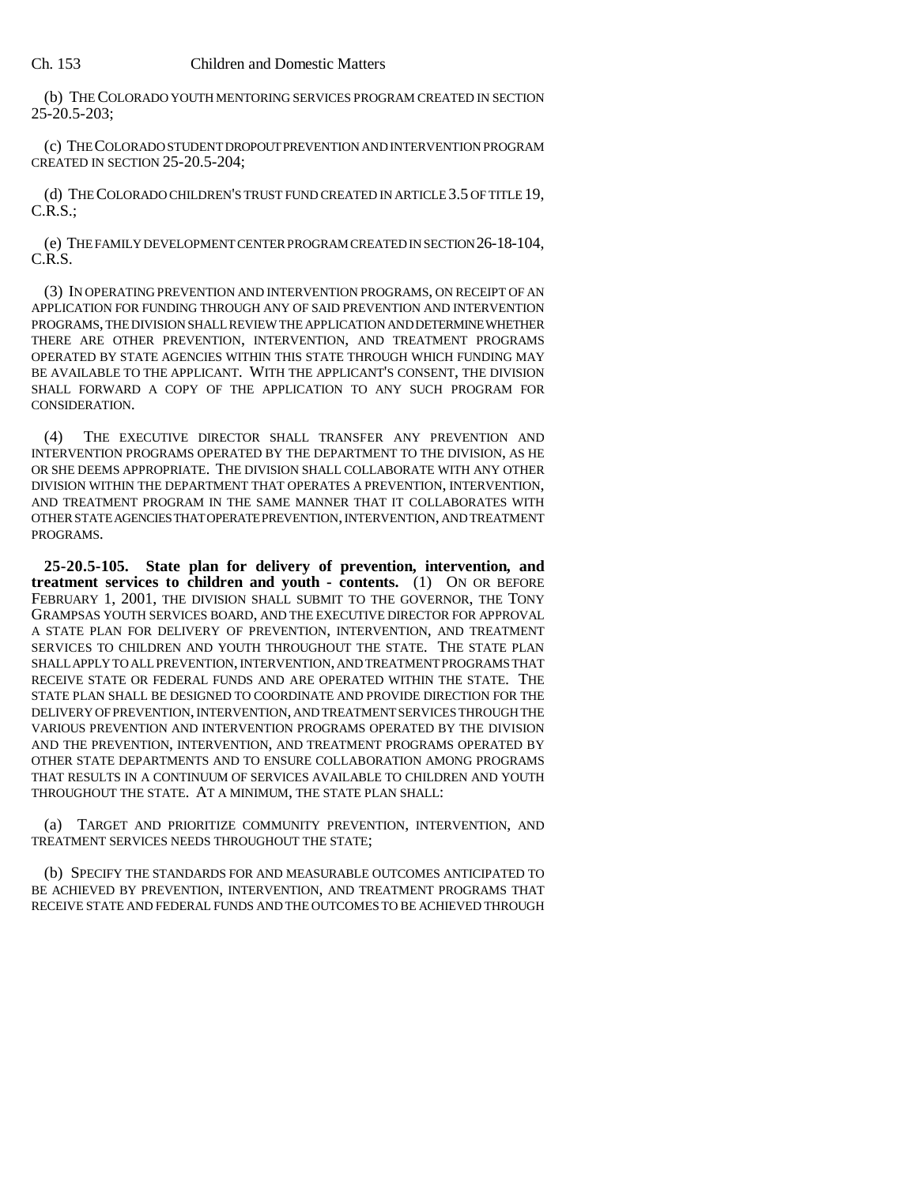(b) THE COLORADO YOUTH MENTORING SERVICES PROGRAM CREATED IN SECTION 25-20.5-203;

(c) THE COLORADO STUDENT DROPOUT PREVENTION AND INTERVENTION PROGRAM CREATED IN SECTION 25-20.5-204;

(d) THE COLORADO CHILDREN'S TRUST FUND CREATED IN ARTICLE 3.5 OF TITLE 19,  $C.R.S.:$ 

(e) THE FAMILY DEVELOPMENT CENTER PROGRAM CREATED IN SECTION 26-18-104, C.R.S.

(3) IN OPERATING PREVENTION AND INTERVENTION PROGRAMS, ON RECEIPT OF AN APPLICATION FOR FUNDING THROUGH ANY OF SAID PREVENTION AND INTERVENTION PROGRAMS, THE DIVISION SHALL REVIEW THE APPLICATION AND DETERMINE WHETHER THERE ARE OTHER PREVENTION, INTERVENTION, AND TREATMENT PROGRAMS OPERATED BY STATE AGENCIES WITHIN THIS STATE THROUGH WHICH FUNDING MAY BE AVAILABLE TO THE APPLICANT. WITH THE APPLICANT'S CONSENT, THE DIVISION SHALL FORWARD A COPY OF THE APPLICATION TO ANY SUCH PROGRAM FOR CONSIDERATION.

(4) THE EXECUTIVE DIRECTOR SHALL TRANSFER ANY PREVENTION AND INTERVENTION PROGRAMS OPERATED BY THE DEPARTMENT TO THE DIVISION, AS HE OR SHE DEEMS APPROPRIATE. THE DIVISION SHALL COLLABORATE WITH ANY OTHER DIVISION WITHIN THE DEPARTMENT THAT OPERATES A PREVENTION, INTERVENTION, AND TREATMENT PROGRAM IN THE SAME MANNER THAT IT COLLABORATES WITH OTHER STATE AGENCIES THAT OPERATE PREVENTION, INTERVENTION, AND TREATMENT PROGRAMS.

**25-20.5-105. State plan for delivery of prevention, intervention, and treatment services to children and youth - contents.** (1) ON OR BEFORE FEBRUARY 1, 2001, THE DIVISION SHALL SUBMIT TO THE GOVERNOR, THE TONY GRAMPSAS YOUTH SERVICES BOARD, AND THE EXECUTIVE DIRECTOR FOR APPROVAL A STATE PLAN FOR DELIVERY OF PREVENTION, INTERVENTION, AND TREATMENT SERVICES TO CHILDREN AND YOUTH THROUGHOUT THE STATE. THE STATE PLAN SHALL APPLY TO ALL PREVENTION, INTERVENTION, AND TREATMENT PROGRAMS THAT RECEIVE STATE OR FEDERAL FUNDS AND ARE OPERATED WITHIN THE STATE. THE STATE PLAN SHALL BE DESIGNED TO COORDINATE AND PROVIDE DIRECTION FOR THE DELIVERY OF PREVENTION, INTERVENTION, AND TREATMENT SERVICES THROUGH THE VARIOUS PREVENTION AND INTERVENTION PROGRAMS OPERATED BY THE DIVISION AND THE PREVENTION, INTERVENTION, AND TREATMENT PROGRAMS OPERATED BY OTHER STATE DEPARTMENTS AND TO ENSURE COLLABORATION AMONG PROGRAMS THAT RESULTS IN A CONTINUUM OF SERVICES AVAILABLE TO CHILDREN AND YOUTH THROUGHOUT THE STATE. AT A MINIMUM, THE STATE PLAN SHALL:

(a) TARGET AND PRIORITIZE COMMUNITY PREVENTION, INTERVENTION, AND TREATMENT SERVICES NEEDS THROUGHOUT THE STATE;

(b) SPECIFY THE STANDARDS FOR AND MEASURABLE OUTCOMES ANTICIPATED TO BE ACHIEVED BY PREVENTION, INTERVENTION, AND TREATMENT PROGRAMS THAT RECEIVE STATE AND FEDERAL FUNDS AND THE OUTCOMES TO BE ACHIEVED THROUGH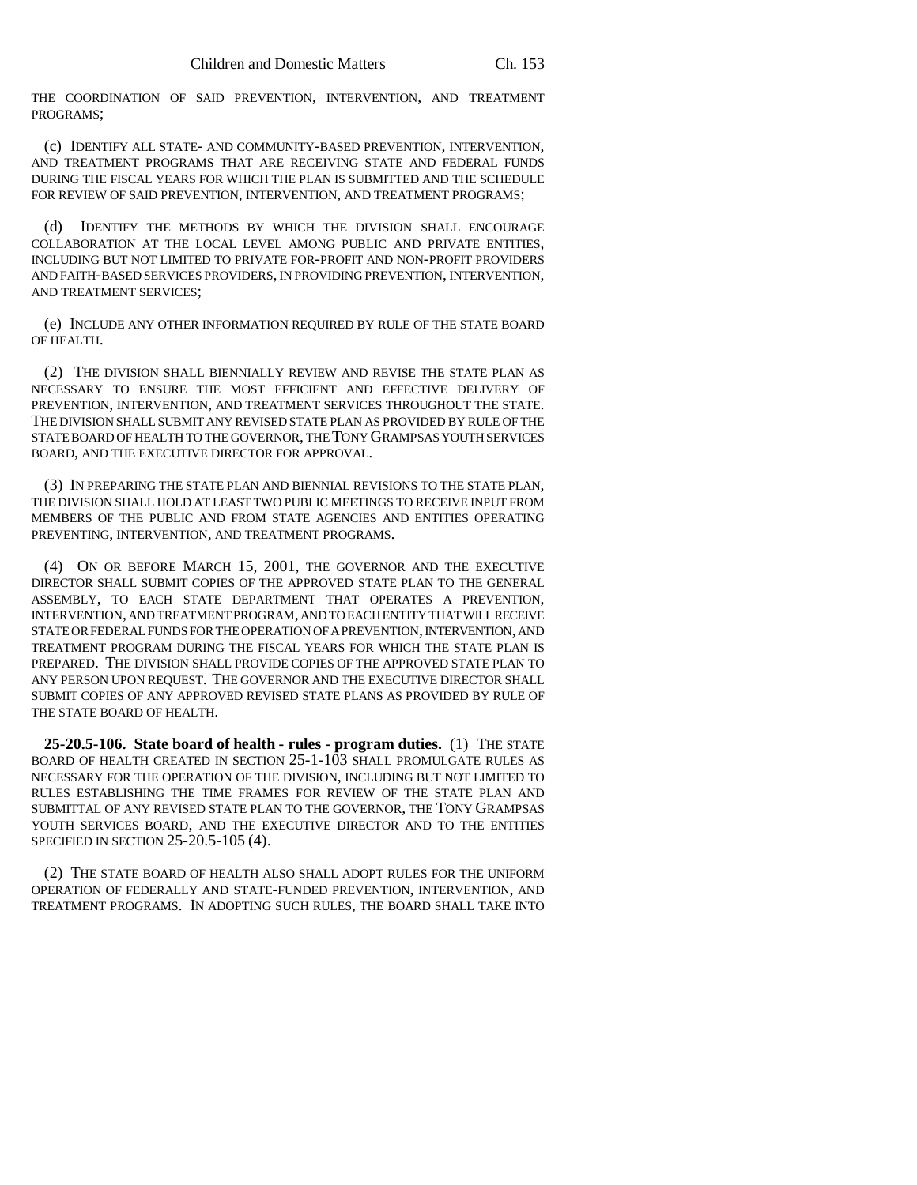THE COORDINATION OF SAID PREVENTION, INTERVENTION, AND TREATMENT PROGRAMS;

(c) IDENTIFY ALL STATE- AND COMMUNITY-BASED PREVENTION, INTERVENTION, AND TREATMENT PROGRAMS THAT ARE RECEIVING STATE AND FEDERAL FUNDS DURING THE FISCAL YEARS FOR WHICH THE PLAN IS SUBMITTED AND THE SCHEDULE FOR REVIEW OF SAID PREVENTION, INTERVENTION, AND TREATMENT PROGRAMS;

(d) IDENTIFY THE METHODS BY WHICH THE DIVISION SHALL ENCOURAGE COLLABORATION AT THE LOCAL LEVEL AMONG PUBLIC AND PRIVATE ENTITIES, INCLUDING BUT NOT LIMITED TO PRIVATE FOR-PROFIT AND NON-PROFIT PROVIDERS AND FAITH-BASED SERVICES PROVIDERS, IN PROVIDING PREVENTION, INTERVENTION, AND TREATMENT SERVICES;

(e) INCLUDE ANY OTHER INFORMATION REQUIRED BY RULE OF THE STATE BOARD OF HEALTH.

(2) THE DIVISION SHALL BIENNIALLY REVIEW AND REVISE THE STATE PLAN AS NECESSARY TO ENSURE THE MOST EFFICIENT AND EFFECTIVE DELIVERY OF PREVENTION, INTERVENTION, AND TREATMENT SERVICES THROUGHOUT THE STATE. THE DIVISION SHALL SUBMIT ANY REVISED STATE PLAN AS PROVIDED BY RULE OF THE STATE BOARD OF HEALTH TO THE GOVERNOR, THE TONY GRAMPSAS YOUTH SERVICES BOARD, AND THE EXECUTIVE DIRECTOR FOR APPROVAL.

(3) IN PREPARING THE STATE PLAN AND BIENNIAL REVISIONS TO THE STATE PLAN, THE DIVISION SHALL HOLD AT LEAST TWO PUBLIC MEETINGS TO RECEIVE INPUT FROM MEMBERS OF THE PUBLIC AND FROM STATE AGENCIES AND ENTITIES OPERATING PREVENTING, INTERVENTION, AND TREATMENT PROGRAMS.

(4) ON OR BEFORE MARCH 15, 2001, THE GOVERNOR AND THE EXECUTIVE DIRECTOR SHALL SUBMIT COPIES OF THE APPROVED STATE PLAN TO THE GENERAL ASSEMBLY, TO EACH STATE DEPARTMENT THAT OPERATES A PREVENTION, INTERVENTION, AND TREATMENT PROGRAM, AND TO EACH ENTITY THAT WILL RECEIVE STATE OR FEDERAL FUNDS FOR THE OPERATION OF A PREVENTION, INTERVENTION, AND TREATMENT PROGRAM DURING THE FISCAL YEARS FOR WHICH THE STATE PLAN IS PREPARED. THE DIVISION SHALL PROVIDE COPIES OF THE APPROVED STATE PLAN TO ANY PERSON UPON REQUEST. THE GOVERNOR AND THE EXECUTIVE DIRECTOR SHALL SUBMIT COPIES OF ANY APPROVED REVISED STATE PLANS AS PROVIDED BY RULE OF THE STATE BOARD OF HEALTH.

**25-20.5-106. State board of health - rules - program duties.** (1) THE STATE BOARD OF HEALTH CREATED IN SECTION 25-1-103 SHALL PROMULGATE RULES AS NECESSARY FOR THE OPERATION OF THE DIVISION, INCLUDING BUT NOT LIMITED TO RULES ESTABLISHING THE TIME FRAMES FOR REVIEW OF THE STATE PLAN AND SUBMITTAL OF ANY REVISED STATE PLAN TO THE GOVERNOR, THE TONY GRAMPSAS YOUTH SERVICES BOARD, AND THE EXECUTIVE DIRECTOR AND TO THE ENTITIES SPECIFIED IN SECTION 25-20.5-105 (4).

(2) THE STATE BOARD OF HEALTH ALSO SHALL ADOPT RULES FOR THE UNIFORM OPERATION OF FEDERALLY AND STATE-FUNDED PREVENTION, INTERVENTION, AND TREATMENT PROGRAMS. IN ADOPTING SUCH RULES, THE BOARD SHALL TAKE INTO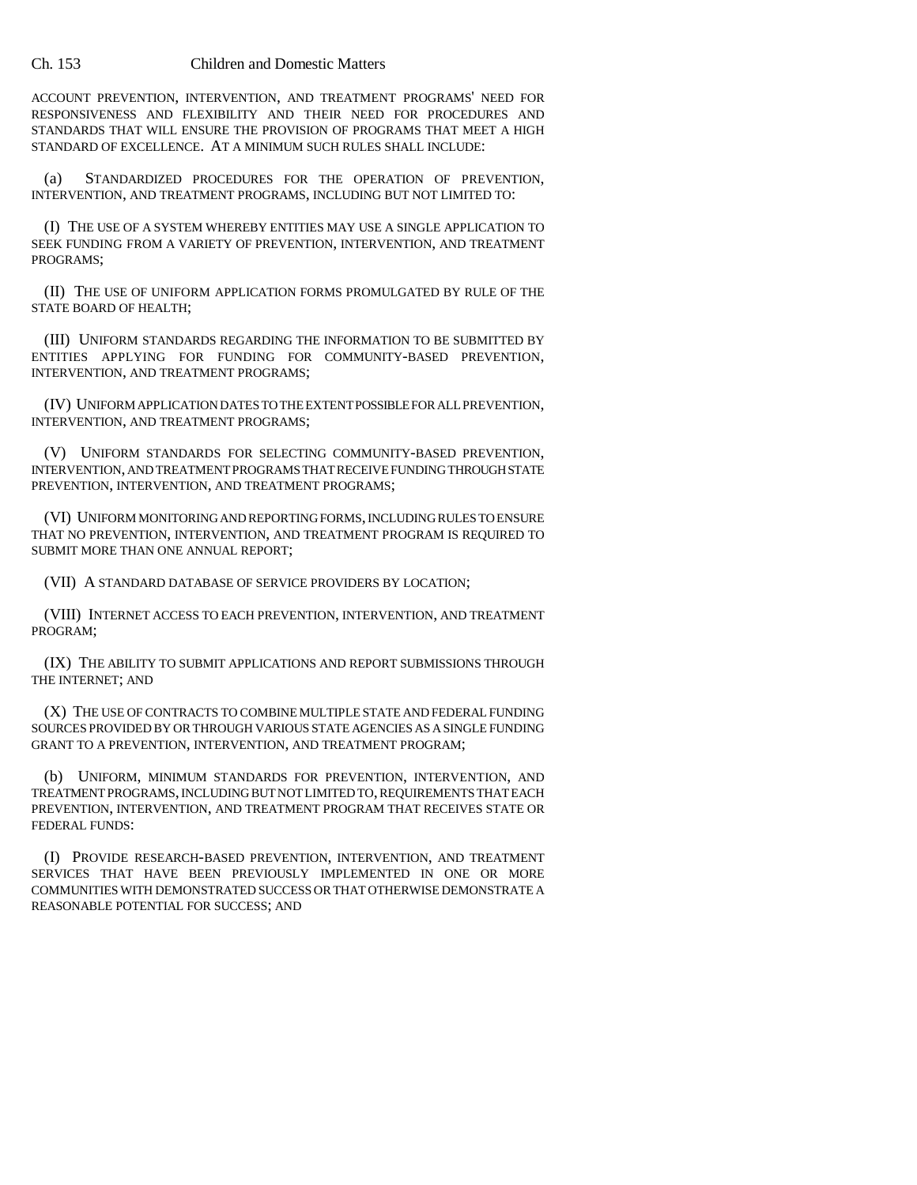ACCOUNT PREVENTION, INTERVENTION, AND TREATMENT PROGRAMS' NEED FOR RESPONSIVENESS AND FLEXIBILITY AND THEIR NEED FOR PROCEDURES AND STANDARDS THAT WILL ENSURE THE PROVISION OF PROGRAMS THAT MEET A HIGH STANDARD OF EXCELLENCE. AT A MINIMUM SUCH RULES SHALL INCLUDE:

(a) STANDARDIZED PROCEDURES FOR THE OPERATION OF PREVENTION, INTERVENTION, AND TREATMENT PROGRAMS, INCLUDING BUT NOT LIMITED TO:

(I) THE USE OF A SYSTEM WHEREBY ENTITIES MAY USE A SINGLE APPLICATION TO SEEK FUNDING FROM A VARIETY OF PREVENTION, INTERVENTION, AND TREATMENT PROGRAMS;

(II) THE USE OF UNIFORM APPLICATION FORMS PROMULGATED BY RULE OF THE STATE BOARD OF HEALTH;

(III) UNIFORM STANDARDS REGARDING THE INFORMATION TO BE SUBMITTED BY ENTITIES APPLYING FOR FUNDING FOR COMMUNITY-BASED PREVENTION, INTERVENTION, AND TREATMENT PROGRAMS;

(IV) UNIFORM APPLICATION DATES TO THE EXTENT POSSIBLE FOR ALL PREVENTION, INTERVENTION, AND TREATMENT PROGRAMS;

(V) UNIFORM STANDARDS FOR SELECTING COMMUNITY-BASED PREVENTION, INTERVENTION, AND TREATMENT PROGRAMS THAT RECEIVE FUNDING THROUGH STATE PREVENTION, INTERVENTION, AND TREATMENT PROGRAMS;

(VI) UNIFORM MONITORING AND REPORTING FORMS, INCLUDING RULES TO ENSURE THAT NO PREVENTION, INTERVENTION, AND TREATMENT PROGRAM IS REQUIRED TO SUBMIT MORE THAN ONE ANNUAL REPORT;

(VII) A STANDARD DATABASE OF SERVICE PROVIDERS BY LOCATION;

(VIII) INTERNET ACCESS TO EACH PREVENTION, INTERVENTION, AND TREATMENT PROGRAM;

(IX) THE ABILITY TO SUBMIT APPLICATIONS AND REPORT SUBMISSIONS THROUGH THE INTERNET; AND

(X) THE USE OF CONTRACTS TO COMBINE MULTIPLE STATE AND FEDERAL FUNDING SOURCES PROVIDED BY OR THROUGH VARIOUS STATE AGENCIES AS A SINGLE FUNDING GRANT TO A PREVENTION, INTERVENTION, AND TREATMENT PROGRAM;

(b) UNIFORM, MINIMUM STANDARDS FOR PREVENTION, INTERVENTION, AND TREATMENT PROGRAMS, INCLUDING BUT NOT LIMITED TO, REQUIREMENTS THAT EACH PREVENTION, INTERVENTION, AND TREATMENT PROGRAM THAT RECEIVES STATE OR FEDERAL FUNDS:

(I) PROVIDE RESEARCH-BASED PREVENTION, INTERVENTION, AND TREATMENT SERVICES THAT HAVE BEEN PREVIOUSLY IMPLEMENTED IN ONE OR MORE COMMUNITIES WITH DEMONSTRATED SUCCESS OR THAT OTHERWISE DEMONSTRATE A REASONABLE POTENTIAL FOR SUCCESS; AND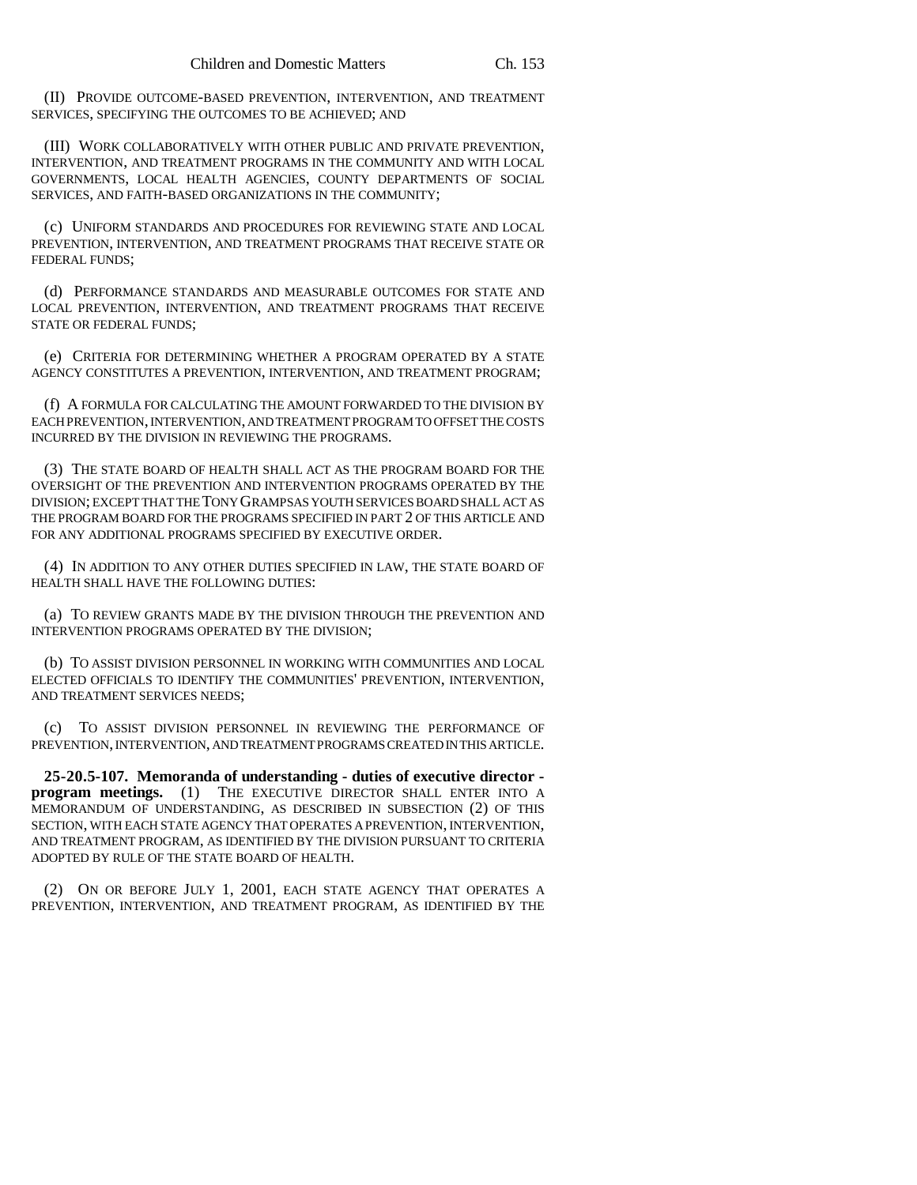(II) PROVIDE OUTCOME-BASED PREVENTION, INTERVENTION, AND TREATMENT SERVICES, SPECIFYING THE OUTCOMES TO BE ACHIEVED; AND

(III) WORK COLLABORATIVELY WITH OTHER PUBLIC AND PRIVATE PREVENTION, INTERVENTION, AND TREATMENT PROGRAMS IN THE COMMUNITY AND WITH LOCAL GOVERNMENTS, LOCAL HEALTH AGENCIES, COUNTY DEPARTMENTS OF SOCIAL SERVICES, AND FAITH-BASED ORGANIZATIONS IN THE COMMUNITY;

(c) UNIFORM STANDARDS AND PROCEDURES FOR REVIEWING STATE AND LOCAL PREVENTION, INTERVENTION, AND TREATMENT PROGRAMS THAT RECEIVE STATE OR FEDERAL FUNDS;

(d) PERFORMANCE STANDARDS AND MEASURABLE OUTCOMES FOR STATE AND LOCAL PREVENTION, INTERVENTION, AND TREATMENT PROGRAMS THAT RECEIVE STATE OR FEDERAL FUNDS;

(e) CRITERIA FOR DETERMINING WHETHER A PROGRAM OPERATED BY A STATE AGENCY CONSTITUTES A PREVENTION, INTERVENTION, AND TREATMENT PROGRAM;

(f) A FORMULA FOR CALCULATING THE AMOUNT FORWARDED TO THE DIVISION BY EACH PREVENTION, INTERVENTION, AND TREATMENT PROGRAM TO OFFSET THE COSTS INCURRED BY THE DIVISION IN REVIEWING THE PROGRAMS.

(3) THE STATE BOARD OF HEALTH SHALL ACT AS THE PROGRAM BOARD FOR THE OVERSIGHT OF THE PREVENTION AND INTERVENTION PROGRAMS OPERATED BY THE DIVISION; EXCEPT THAT THE TONY GRAMPSAS YOUTH SERVICES BOARD SHALL ACT AS THE PROGRAM BOARD FOR THE PROGRAMS SPECIFIED IN PART 2 OF THIS ARTICLE AND FOR ANY ADDITIONAL PROGRAMS SPECIFIED BY EXECUTIVE ORDER.

(4) IN ADDITION TO ANY OTHER DUTIES SPECIFIED IN LAW, THE STATE BOARD OF HEALTH SHALL HAVE THE FOLLOWING DUTIES:

(a) TO REVIEW GRANTS MADE BY THE DIVISION THROUGH THE PREVENTION AND INTERVENTION PROGRAMS OPERATED BY THE DIVISION;

(b) TO ASSIST DIVISION PERSONNEL IN WORKING WITH COMMUNITIES AND LOCAL ELECTED OFFICIALS TO IDENTIFY THE COMMUNITIES' PREVENTION, INTERVENTION, AND TREATMENT SERVICES NEEDS;

(c) TO ASSIST DIVISION PERSONNEL IN REVIEWING THE PERFORMANCE OF PREVENTION, INTERVENTION, AND TREATMENT PROGRAMS CREATED IN THIS ARTICLE.

**25-20.5-107. Memoranda of understanding - duties of executive director program meetings.** (1) THE EXECUTIVE DIRECTOR SHALL ENTER INTO A MEMORANDUM OF UNDERSTANDING, AS DESCRIBED IN SUBSECTION (2) OF THIS SECTION, WITH EACH STATE AGENCY THAT OPERATES A PREVENTION, INTERVENTION, AND TREATMENT PROGRAM, AS IDENTIFIED BY THE DIVISION PURSUANT TO CRITERIA ADOPTED BY RULE OF THE STATE BOARD OF HEALTH.

(2) ON OR BEFORE JULY 1, 2001, EACH STATE AGENCY THAT OPERATES A PREVENTION, INTERVENTION, AND TREATMENT PROGRAM, AS IDENTIFIED BY THE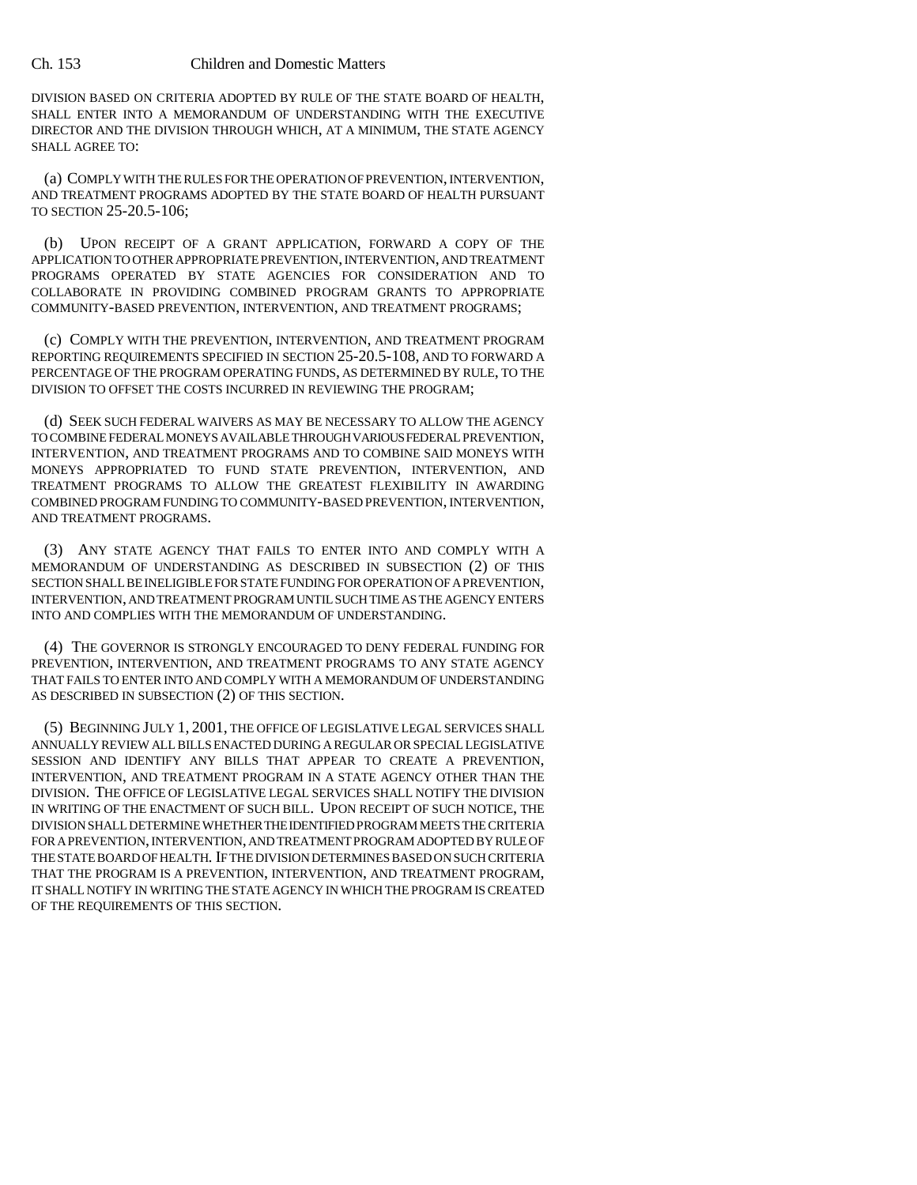DIVISION BASED ON CRITERIA ADOPTED BY RULE OF THE STATE BOARD OF HEALTH, SHALL ENTER INTO A MEMORANDUM OF UNDERSTANDING WITH THE EXECUTIVE DIRECTOR AND THE DIVISION THROUGH WHICH, AT A MINIMUM, THE STATE AGENCY SHALL AGREE TO:

(a) COMPLY WITH THE RULES FOR THE OPERATION OF PREVENTION, INTERVENTION, AND TREATMENT PROGRAMS ADOPTED BY THE STATE BOARD OF HEALTH PURSUANT TO SECTION 25-20.5-106;

(b) UPON RECEIPT OF A GRANT APPLICATION, FORWARD A COPY OF THE APPLICATION TO OTHER APPROPRIATE PREVENTION, INTERVENTION, AND TREATMENT PROGRAMS OPERATED BY STATE AGENCIES FOR CONSIDERATION AND TO COLLABORATE IN PROVIDING COMBINED PROGRAM GRANTS TO APPROPRIATE COMMUNITY-BASED PREVENTION, INTERVENTION, AND TREATMENT PROGRAMS;

(c) COMPLY WITH THE PREVENTION, INTERVENTION, AND TREATMENT PROGRAM REPORTING REQUIREMENTS SPECIFIED IN SECTION 25-20.5-108, AND TO FORWARD A PERCENTAGE OF THE PROGRAM OPERATING FUNDS, AS DETERMINED BY RULE, TO THE DIVISION TO OFFSET THE COSTS INCURRED IN REVIEWING THE PROGRAM;

(d) SEEK SUCH FEDERAL WAIVERS AS MAY BE NECESSARY TO ALLOW THE AGENCY TO COMBINE FEDERAL MONEYS AVAILABLE THROUGH VARIOUS FEDERAL PREVENTION, INTERVENTION, AND TREATMENT PROGRAMS AND TO COMBINE SAID MONEYS WITH MONEYS APPROPRIATED TO FUND STATE PREVENTION, INTERVENTION, AND TREATMENT PROGRAMS TO ALLOW THE GREATEST FLEXIBILITY IN AWARDING COMBINED PROGRAM FUNDING TO COMMUNITY-BASED PREVENTION, INTERVENTION, AND TREATMENT PROGRAMS.

(3) ANY STATE AGENCY THAT FAILS TO ENTER INTO AND COMPLY WITH A MEMORANDUM OF UNDERSTANDING AS DESCRIBED IN SUBSECTION (2) OF THIS SECTION SHALL BE INELIGIBLE FOR STATE FUNDING FOR OPERATION OF A PREVENTION, INTERVENTION, AND TREATMENT PROGRAM UNTIL SUCH TIME AS THE AGENCY ENTERS INTO AND COMPLIES WITH THE MEMORANDUM OF UNDERSTANDING.

(4) THE GOVERNOR IS STRONGLY ENCOURAGED TO DENY FEDERAL FUNDING FOR PREVENTION, INTERVENTION, AND TREATMENT PROGRAMS TO ANY STATE AGENCY THAT FAILS TO ENTER INTO AND COMPLY WITH A MEMORANDUM OF UNDERSTANDING AS DESCRIBED IN SUBSECTION (2) OF THIS SECTION.

(5) BEGINNING JULY 1, 2001, THE OFFICE OF LEGISLATIVE LEGAL SERVICES SHALL ANNUALLY REVIEW ALL BILLS ENACTED DURING A REGULAR OR SPECIAL LEGISLATIVE SESSION AND IDENTIFY ANY BILLS THAT APPEAR TO CREATE A PREVENTION, INTERVENTION, AND TREATMENT PROGRAM IN A STATE AGENCY OTHER THAN THE DIVISION. THE OFFICE OF LEGISLATIVE LEGAL SERVICES SHALL NOTIFY THE DIVISION IN WRITING OF THE ENACTMENT OF SUCH BILL. UPON RECEIPT OF SUCH NOTICE, THE DIVISION SHALL DETERMINE WHETHER THE IDENTIFIED PROGRAM MEETS THE CRITERIA FOR A PREVENTION, INTERVENTION, AND TREATMENT PROGRAM ADOPTED BY RULE OF THE STATE BOARD OF HEALTH. IF THE DIVISION DETERMINES BASED ON SUCH CRITERIA THAT THE PROGRAM IS A PREVENTION, INTERVENTION, AND TREATMENT PROGRAM, IT SHALL NOTIFY IN WRITING THE STATE AGENCY IN WHICH THE PROGRAM IS CREATED OF THE REQUIREMENTS OF THIS SECTION.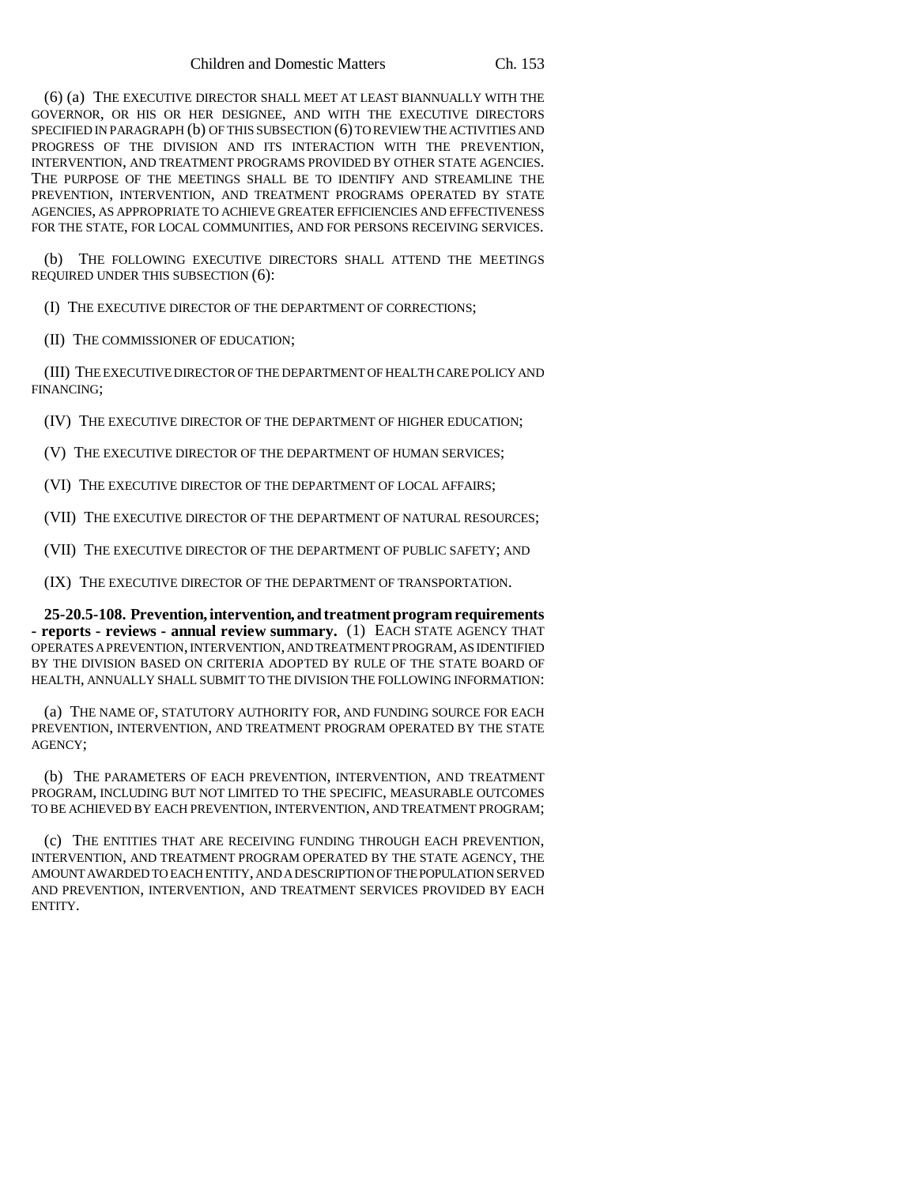(6) (a) THE EXECUTIVE DIRECTOR SHALL MEET AT LEAST BIANNUALLY WITH THE GOVERNOR, OR HIS OR HER DESIGNEE, AND WITH THE EXECUTIVE DIRECTORS SPECIFIED IN PARAGRAPH (b) OF THIS SUBSECTION (6) TO REVIEW THE ACTIVITIES AND PROGRESS OF THE DIVISION AND ITS INTERACTION WITH THE PREVENTION, INTERVENTION, AND TREATMENT PROGRAMS PROVIDED BY OTHER STATE AGENCIES. THE PURPOSE OF THE MEETINGS SHALL BE TO IDENTIFY AND STREAMLINE THE PREVENTION, INTERVENTION, AND TREATMENT PROGRAMS OPERATED BY STATE AGENCIES, AS APPROPRIATE TO ACHIEVE GREATER EFFICIENCIES AND EFFECTIVENESS FOR THE STATE, FOR LOCAL COMMUNITIES, AND FOR PERSONS RECEIVING SERVICES.

(b) THE FOLLOWING EXECUTIVE DIRECTORS SHALL ATTEND THE MEETINGS REQUIRED UNDER THIS SUBSECTION (6):

(I) THE EXECUTIVE DIRECTOR OF THE DEPARTMENT OF CORRECTIONS;

(II) THE COMMISSIONER OF EDUCATION;

(III) THE EXECUTIVE DIRECTOR OF THE DEPARTMENT OF HEALTH CARE POLICY AND FINANCING;

(IV) THE EXECUTIVE DIRECTOR OF THE DEPARTMENT OF HIGHER EDUCATION;

(V) THE EXECUTIVE DIRECTOR OF THE DEPARTMENT OF HUMAN SERVICES;

(VI) THE EXECUTIVE DIRECTOR OF THE DEPARTMENT OF LOCAL AFFAIRS;

(VII) THE EXECUTIVE DIRECTOR OF THE DEPARTMENT OF NATURAL RESOURCES;

(VII) THE EXECUTIVE DIRECTOR OF THE DEPARTMENT OF PUBLIC SAFETY; AND

(IX) THE EXECUTIVE DIRECTOR OF THE DEPARTMENT OF TRANSPORTATION.

**25-20.5-108. Prevention, intervention, and treatment program requirements - reports - reviews - annual review summary.** (1) EACH STATE AGENCY THAT OPERATES A PREVENTION, INTERVENTION, AND TREATMENT PROGRAM, AS IDENTIFIED BY THE DIVISION BASED ON CRITERIA ADOPTED BY RULE OF THE STATE BOARD OF HEALTH, ANNUALLY SHALL SUBMIT TO THE DIVISION THE FOLLOWING INFORMATION:

(a) THE NAME OF, STATUTORY AUTHORITY FOR, AND FUNDING SOURCE FOR EACH PREVENTION, INTERVENTION, AND TREATMENT PROGRAM OPERATED BY THE STATE AGENCY;

(b) THE PARAMETERS OF EACH PREVENTION, INTERVENTION, AND TREATMENT PROGRAM, INCLUDING BUT NOT LIMITED TO THE SPECIFIC, MEASURABLE OUTCOMES TO BE ACHIEVED BY EACH PREVENTION, INTERVENTION, AND TREATMENT PROGRAM;

(c) THE ENTITIES THAT ARE RECEIVING FUNDING THROUGH EACH PREVENTION, INTERVENTION, AND TREATMENT PROGRAM OPERATED BY THE STATE AGENCY, THE AMOUNT AWARDED TO EACH ENTITY, AND A DESCRIPTION OF THE POPULATION SERVED AND PREVENTION, INTERVENTION, AND TREATMENT SERVICES PROVIDED BY EACH ENTITY.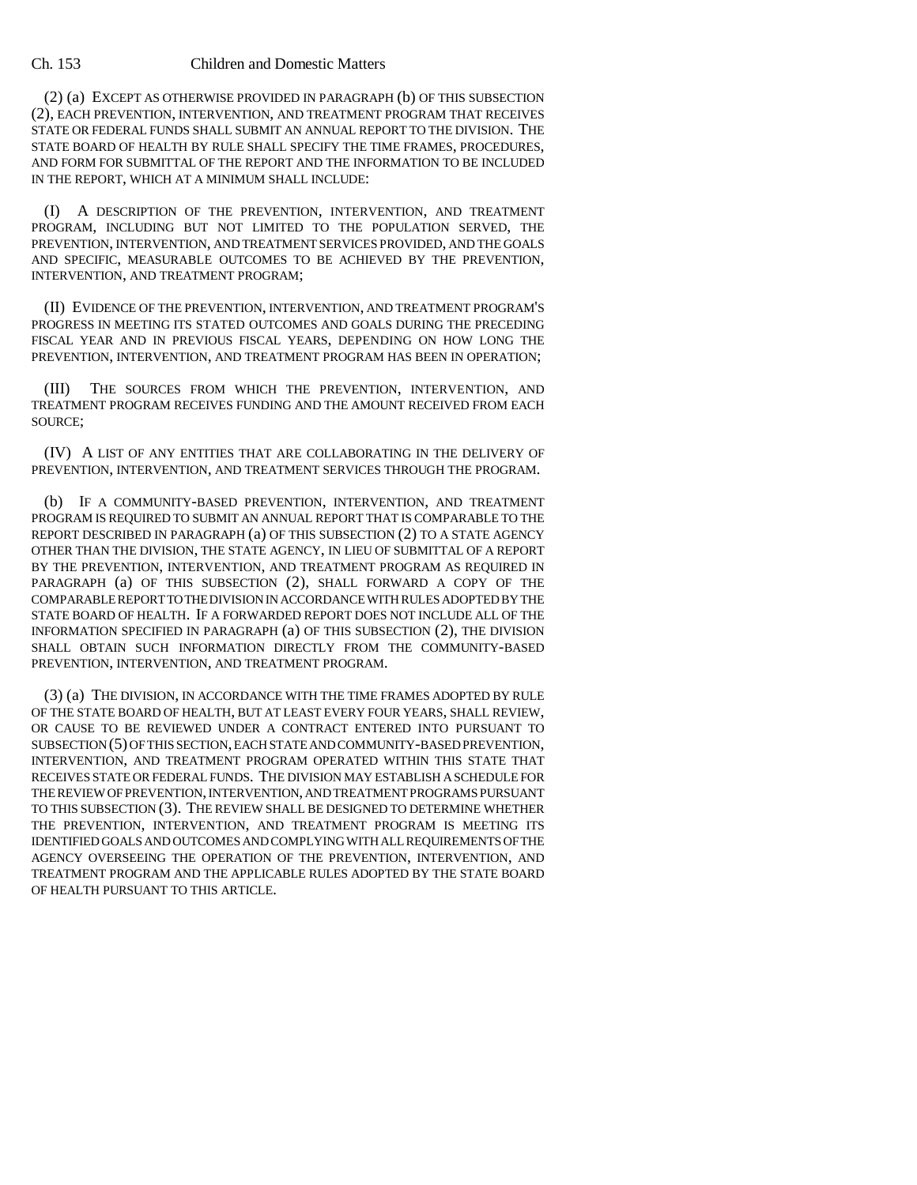(2) (a) EXCEPT AS OTHERWISE PROVIDED IN PARAGRAPH (b) OF THIS SUBSECTION (2), EACH PREVENTION, INTERVENTION, AND TREATMENT PROGRAM THAT RECEIVES STATE OR FEDERAL FUNDS SHALL SUBMIT AN ANNUAL REPORT TO THE DIVISION. THE STATE BOARD OF HEALTH BY RULE SHALL SPECIFY THE TIME FRAMES, PROCEDURES, AND FORM FOR SUBMITTAL OF THE REPORT AND THE INFORMATION TO BE INCLUDED IN THE REPORT, WHICH AT A MINIMUM SHALL INCLUDE:

(I) A DESCRIPTION OF THE PREVENTION, INTERVENTION, AND TREATMENT PROGRAM, INCLUDING BUT NOT LIMITED TO THE POPULATION SERVED, THE PREVENTION, INTERVENTION, AND TREATMENT SERVICES PROVIDED, AND THE GOALS AND SPECIFIC, MEASURABLE OUTCOMES TO BE ACHIEVED BY THE PREVENTION, INTERVENTION, AND TREATMENT PROGRAM;

(II) EVIDENCE OF THE PREVENTION, INTERVENTION, AND TREATMENT PROGRAM'S PROGRESS IN MEETING ITS STATED OUTCOMES AND GOALS DURING THE PRECEDING FISCAL YEAR AND IN PREVIOUS FISCAL YEARS, DEPENDING ON HOW LONG THE PREVENTION, INTERVENTION, AND TREATMENT PROGRAM HAS BEEN IN OPERATION;

(III) THE SOURCES FROM WHICH THE PREVENTION, INTERVENTION, AND TREATMENT PROGRAM RECEIVES FUNDING AND THE AMOUNT RECEIVED FROM EACH SOURCE;

(IV) A LIST OF ANY ENTITIES THAT ARE COLLABORATING IN THE DELIVERY OF PREVENTION, INTERVENTION, AND TREATMENT SERVICES THROUGH THE PROGRAM.

(b) IF A COMMUNITY-BASED PREVENTION, INTERVENTION, AND TREATMENT PROGRAM IS REQUIRED TO SUBMIT AN ANNUAL REPORT THAT IS COMPARABLE TO THE REPORT DESCRIBED IN PARAGRAPH (a) OF THIS SUBSECTION (2) TO A STATE AGENCY OTHER THAN THE DIVISION, THE STATE AGENCY, IN LIEU OF SUBMITTAL OF A REPORT BY THE PREVENTION, INTERVENTION, AND TREATMENT PROGRAM AS REQUIRED IN PARAGRAPH (a) OF THIS SUBSECTION (2), SHALL FORWARD A COPY OF THE COMPARABLE REPORT TO THE DIVISION IN ACCORDANCE WITH RULES ADOPTED BY THE STATE BOARD OF HEALTH. IF A FORWARDED REPORT DOES NOT INCLUDE ALL OF THE INFORMATION SPECIFIED IN PARAGRAPH (a) OF THIS SUBSECTION (2), THE DIVISION SHALL OBTAIN SUCH INFORMATION DIRECTLY FROM THE COMMUNITY-BASED PREVENTION, INTERVENTION, AND TREATMENT PROGRAM.

(3) (a) THE DIVISION, IN ACCORDANCE WITH THE TIME FRAMES ADOPTED BY RULE OF THE STATE BOARD OF HEALTH, BUT AT LEAST EVERY FOUR YEARS, SHALL REVIEW, OR CAUSE TO BE REVIEWED UNDER A CONTRACT ENTERED INTO PURSUANT TO SUBSECTION (5) OF THIS SECTION, EACH STATE AND COMMUNITY-BASED PREVENTION, INTERVENTION, AND TREATMENT PROGRAM OPERATED WITHIN THIS STATE THAT RECEIVES STATE OR FEDERAL FUNDS. THE DIVISION MAY ESTABLISH A SCHEDULE FOR THE REVIEW OF PREVENTION, INTERVENTION, AND TREATMENT PROGRAMS PURSUANT TO THIS SUBSECTION (3). THE REVIEW SHALL BE DESIGNED TO DETERMINE WHETHER THE PREVENTION, INTERVENTION, AND TREATMENT PROGRAM IS MEETING ITS IDENTIFIED GOALS AND OUTCOMES AND COMPLYING WITH ALL REQUIREMENTS OF THE AGENCY OVERSEEING THE OPERATION OF THE PREVENTION, INTERVENTION, AND TREATMENT PROGRAM AND THE APPLICABLE RULES ADOPTED BY THE STATE BOARD OF HEALTH PURSUANT TO THIS ARTICLE.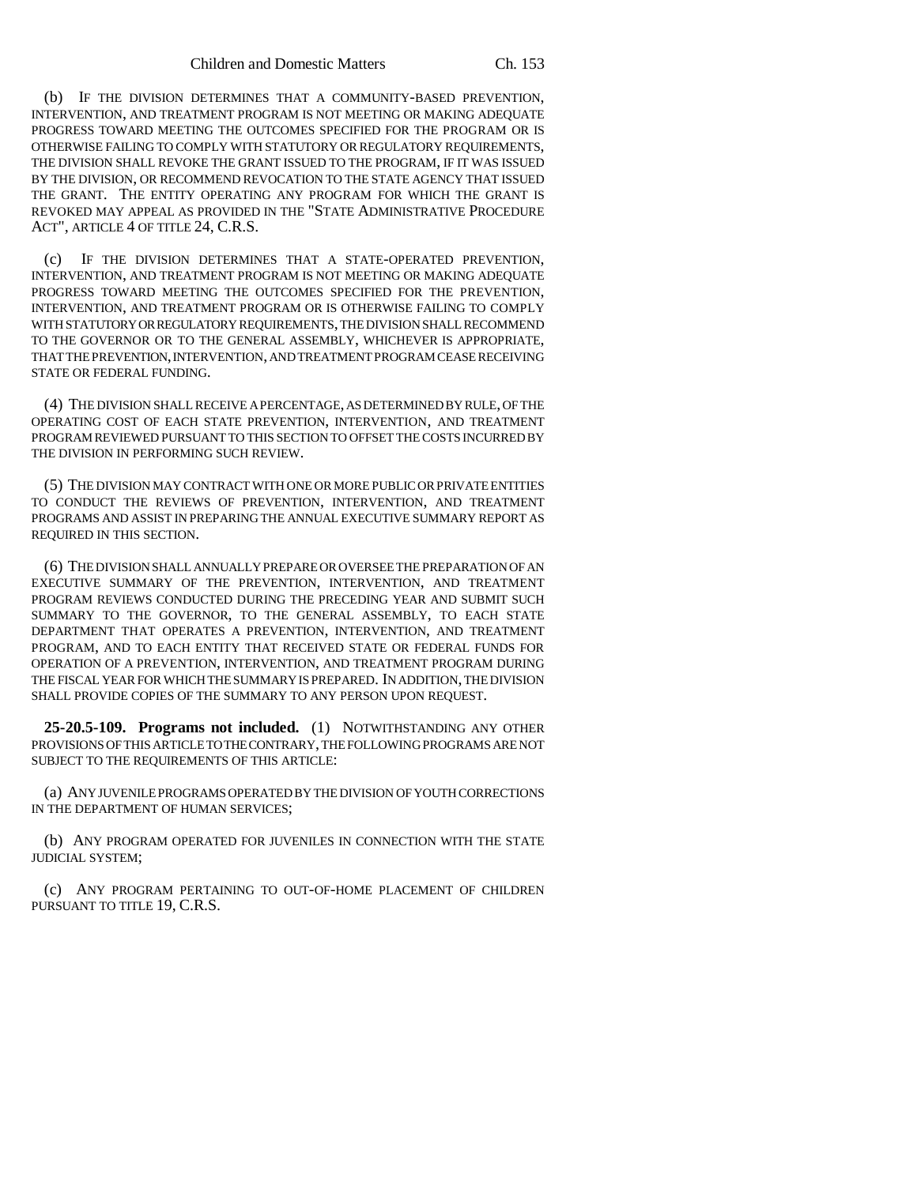(b) IF THE DIVISION DETERMINES THAT A COMMUNITY-BASED PREVENTION, INTERVENTION, AND TREATMENT PROGRAM IS NOT MEETING OR MAKING ADEQUATE PROGRESS TOWARD MEETING THE OUTCOMES SPECIFIED FOR THE PROGRAM OR IS OTHERWISE FAILING TO COMPLY WITH STATUTORY OR REGULATORY REQUIREMENTS, THE DIVISION SHALL REVOKE THE GRANT ISSUED TO THE PROGRAM, IF IT WAS ISSUED BY THE DIVISION, OR RECOMMEND REVOCATION TO THE STATE AGENCY THAT ISSUED THE GRANT. THE ENTITY OPERATING ANY PROGRAM FOR WHICH THE GRANT IS REVOKED MAY APPEAL AS PROVIDED IN THE "STATE ADMINISTRATIVE PROCEDURE ACT", ARTICLE 4 OF TITLE 24, C.R.S.

(c) IF THE DIVISION DETERMINES THAT A STATE-OPERATED PREVENTION, INTERVENTION, AND TREATMENT PROGRAM IS NOT MEETING OR MAKING ADEQUATE PROGRESS TOWARD MEETING THE OUTCOMES SPECIFIED FOR THE PREVENTION, INTERVENTION, AND TREATMENT PROGRAM OR IS OTHERWISE FAILING TO COMPLY WITH STATUTORY OR REGULATORY REQUIREMENTS, THE DIVISION SHALL RECOMMEND TO THE GOVERNOR OR TO THE GENERAL ASSEMBLY, WHICHEVER IS APPROPRIATE, THAT THE PREVENTION, INTERVENTION, AND TREATMENT PROGRAM CEASE RECEIVING STATE OR FEDERAL FUNDING.

(4) THE DIVISION SHALL RECEIVE A PERCENTAGE, AS DETERMINED BY RULE, OF THE OPERATING COST OF EACH STATE PREVENTION, INTERVENTION, AND TREATMENT PROGRAM REVIEWED PURSUANT TO THIS SECTION TO OFFSET THE COSTS INCURRED BY THE DIVISION IN PERFORMING SUCH REVIEW.

(5) THE DIVISION MAY CONTRACT WITH ONE OR MORE PUBLIC OR PRIVATE ENTITIES TO CONDUCT THE REVIEWS OF PREVENTION, INTERVENTION, AND TREATMENT PROGRAMS AND ASSIST IN PREPARING THE ANNUAL EXECUTIVE SUMMARY REPORT AS REQUIRED IN THIS SECTION.

(6) THE DIVISION SHALL ANNUALLY PREPARE OR OVERSEE THE PREPARATION OF AN EXECUTIVE SUMMARY OF THE PREVENTION, INTERVENTION, AND TREATMENT PROGRAM REVIEWS CONDUCTED DURING THE PRECEDING YEAR AND SUBMIT SUCH SUMMARY TO THE GOVERNOR, TO THE GENERAL ASSEMBLY, TO EACH STATE DEPARTMENT THAT OPERATES A PREVENTION, INTERVENTION, AND TREATMENT PROGRAM, AND TO EACH ENTITY THAT RECEIVED STATE OR FEDERAL FUNDS FOR OPERATION OF A PREVENTION, INTERVENTION, AND TREATMENT PROGRAM DURING THE FISCAL YEAR FOR WHICH THE SUMMARY IS PREPARED. IN ADDITION, THE DIVISION SHALL PROVIDE COPIES OF THE SUMMARY TO ANY PERSON UPON REQUEST.

**25-20.5-109. Programs not included.** (1) NOTWITHSTANDING ANY OTHER PROVISIONS OF THIS ARTICLE TO THE CONTRARY, THE FOLLOWING PROGRAMS ARE NOT SUBJECT TO THE REQUIREMENTS OF THIS ARTICLE:

(a) ANY JUVENILE PROGRAMS OPERATED BY THE DIVISION OF YOUTH CORRECTIONS IN THE DEPARTMENT OF HUMAN SERVICES;

(b) ANY PROGRAM OPERATED FOR JUVENILES IN CONNECTION WITH THE STATE JUDICIAL SYSTEM;

(c) ANY PROGRAM PERTAINING TO OUT-OF-HOME PLACEMENT OF CHILDREN PURSUANT TO TITLE 19, C.R.S.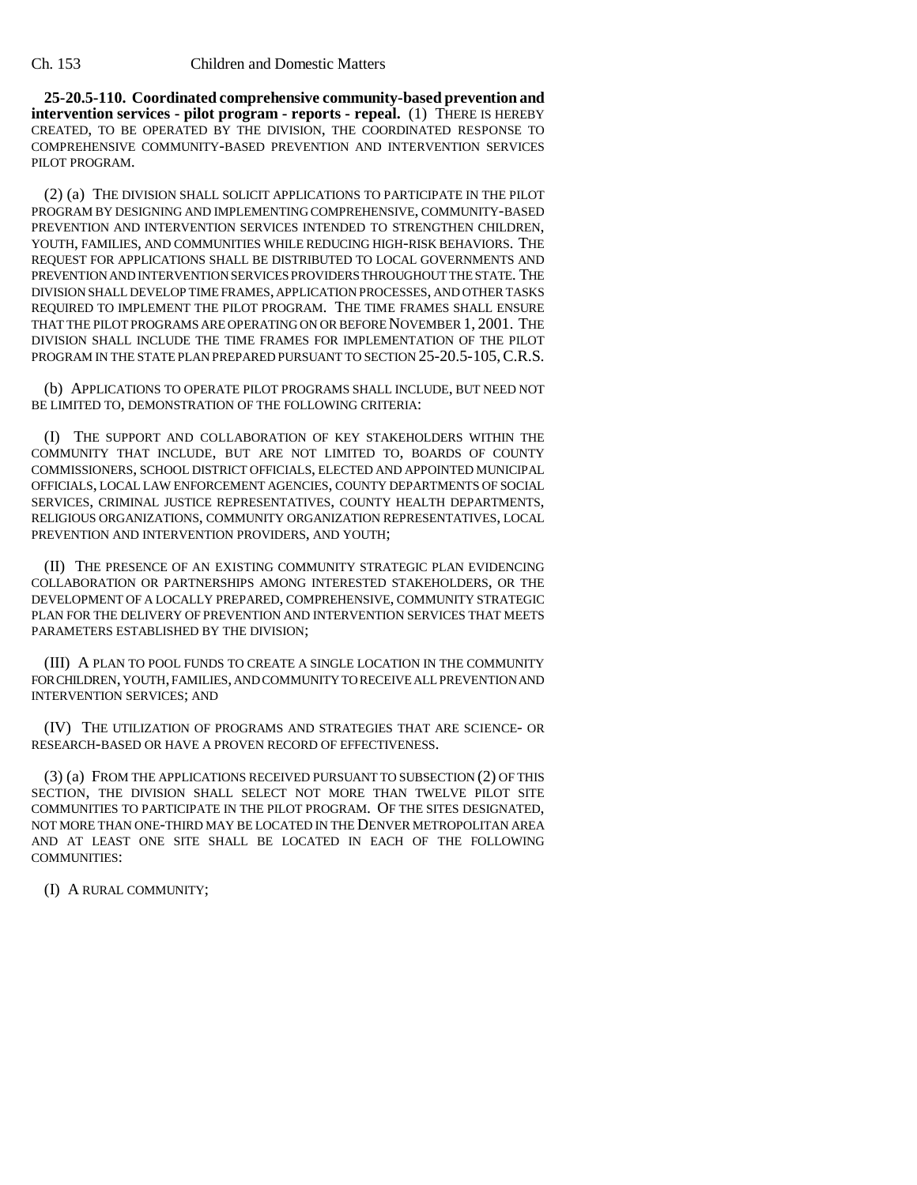**25-20.5-110. Coordinated comprehensive community-based prevention and intervention services - pilot program - reports - repeal.** (1) THERE IS HEREBY CREATED, TO BE OPERATED BY THE DIVISION, THE COORDINATED RESPONSE TO COMPREHENSIVE COMMUNITY-BASED PREVENTION AND INTERVENTION SERVICES PILOT PROGRAM.

(2) (a) THE DIVISION SHALL SOLICIT APPLICATIONS TO PARTICIPATE IN THE PILOT PROGRAM BY DESIGNING AND IMPLEMENTING COMPREHENSIVE, COMMUNITY-BASED PREVENTION AND INTERVENTION SERVICES INTENDED TO STRENGTHEN CHILDREN, YOUTH, FAMILIES, AND COMMUNITIES WHILE REDUCING HIGH-RISK BEHAVIORS. THE REQUEST FOR APPLICATIONS SHALL BE DISTRIBUTED TO LOCAL GOVERNMENTS AND PREVENTION AND INTERVENTION SERVICES PROVIDERS THROUGHOUT THE STATE. THE DIVISION SHALL DEVELOP TIME FRAMES, APPLICATION PROCESSES, AND OTHER TASKS REQUIRED TO IMPLEMENT THE PILOT PROGRAM. THE TIME FRAMES SHALL ENSURE THAT THE PILOT PROGRAMS ARE OPERATING ON OR BEFORE NOVEMBER 1, 2001. THE DIVISION SHALL INCLUDE THE TIME FRAMES FOR IMPLEMENTATION OF THE PILOT PROGRAM IN THE STATE PLAN PREPARED PURSUANT TO SECTION 25-20.5-105, C.R.S.

(b) APPLICATIONS TO OPERATE PILOT PROGRAMS SHALL INCLUDE, BUT NEED NOT BE LIMITED TO, DEMONSTRATION OF THE FOLLOWING CRITERIA:

(I) THE SUPPORT AND COLLABORATION OF KEY STAKEHOLDERS WITHIN THE COMMUNITY THAT INCLUDE, BUT ARE NOT LIMITED TO, BOARDS OF COUNTY COMMISSIONERS, SCHOOL DISTRICT OFFICIALS, ELECTED AND APPOINTED MUNICIPAL OFFICIALS, LOCAL LAW ENFORCEMENT AGENCIES, COUNTY DEPARTMENTS OF SOCIAL SERVICES, CRIMINAL JUSTICE REPRESENTATIVES, COUNTY HEALTH DEPARTMENTS, RELIGIOUS ORGANIZATIONS, COMMUNITY ORGANIZATION REPRESENTATIVES, LOCAL PREVENTION AND INTERVENTION PROVIDERS, AND YOUTH;

(II) THE PRESENCE OF AN EXISTING COMMUNITY STRATEGIC PLAN EVIDENCING COLLABORATION OR PARTNERSHIPS AMONG INTERESTED STAKEHOLDERS, OR THE DEVELOPMENT OF A LOCALLY PREPARED, COMPREHENSIVE, COMMUNITY STRATEGIC PLAN FOR THE DELIVERY OF PREVENTION AND INTERVENTION SERVICES THAT MEETS PARAMETERS ESTABLISHED BY THE DIVISION;

(III) A PLAN TO POOL FUNDS TO CREATE A SINGLE LOCATION IN THE COMMUNITY FOR CHILDREN, YOUTH, FAMILIES, AND COMMUNITY TO RECEIVE ALL PREVENTION AND INTERVENTION SERVICES; AND

(IV) THE UTILIZATION OF PROGRAMS AND STRATEGIES THAT ARE SCIENCE- OR RESEARCH-BASED OR HAVE A PROVEN RECORD OF EFFECTIVENESS.

(3) (a) FROM THE APPLICATIONS RECEIVED PURSUANT TO SUBSECTION (2) OF THIS SECTION, THE DIVISION SHALL SELECT NOT MORE THAN TWELVE PILOT SITE COMMUNITIES TO PARTICIPATE IN THE PILOT PROGRAM. OF THE SITES DESIGNATED, NOT MORE THAN ONE-THIRD MAY BE LOCATED IN THE DENVER METROPOLITAN AREA AND AT LEAST ONE SITE SHALL BE LOCATED IN EACH OF THE FOLLOWING COMMUNITIES:

(I) A RURAL COMMUNITY;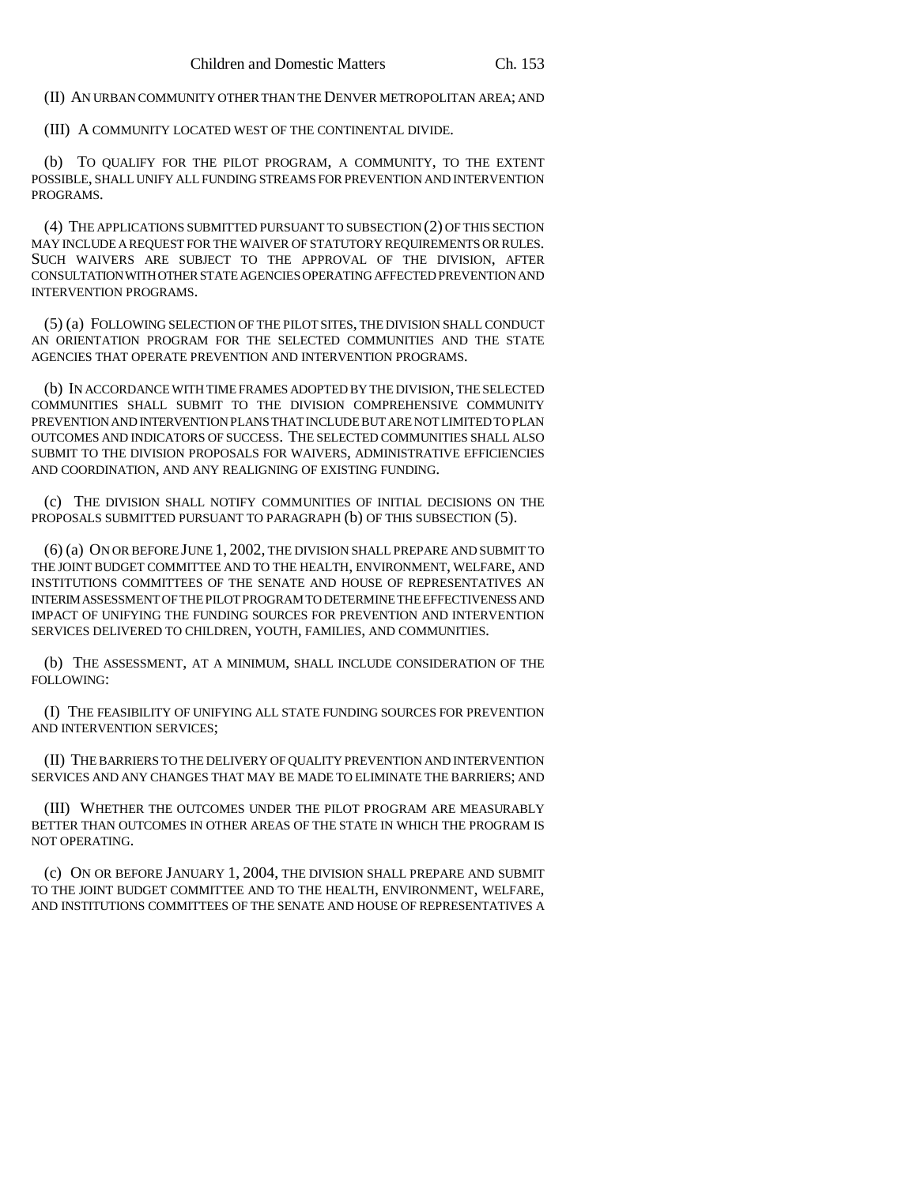(II) AN URBAN COMMUNITY OTHER THAN THE DENVER METROPOLITAN AREA; AND

(III) A COMMUNITY LOCATED WEST OF THE CONTINENTAL DIVIDE.

(b) TO QUALIFY FOR THE PILOT PROGRAM, A COMMUNITY, TO THE EXTENT POSSIBLE, SHALL UNIFY ALL FUNDING STREAMS FOR PREVENTION AND INTERVENTION PROGRAMS.

(4) THE APPLICATIONS SUBMITTED PURSUANT TO SUBSECTION (2) OF THIS SECTION MAY INCLUDE A REQUEST FOR THE WAIVER OF STATUTORY REQUIREMENTS OR RULES. SUCH WAIVERS ARE SUBJECT TO THE APPROVAL OF THE DIVISION, AFTER CONSULTATION WITH OTHER STATE AGENCIES OPERATING AFFECTED PREVENTION AND INTERVENTION PROGRAMS.

(5) (a) FOLLOWING SELECTION OF THE PILOT SITES, THE DIVISION SHALL CONDUCT AN ORIENTATION PROGRAM FOR THE SELECTED COMMUNITIES AND THE STATE AGENCIES THAT OPERATE PREVENTION AND INTERVENTION PROGRAMS.

(b) IN ACCORDANCE WITH TIME FRAMES ADOPTED BY THE DIVISION, THE SELECTED COMMUNITIES SHALL SUBMIT TO THE DIVISION COMPREHENSIVE COMMUNITY PREVENTION AND INTERVENTION PLANS THAT INCLUDE BUT ARE NOT LIMITED TO PLAN OUTCOMES AND INDICATORS OF SUCCESS. THE SELECTED COMMUNITIES SHALL ALSO SUBMIT TO THE DIVISION PROPOSALS FOR WAIVERS, ADMINISTRATIVE EFFICIENCIES AND COORDINATION, AND ANY REALIGNING OF EXISTING FUNDING.

(c) THE DIVISION SHALL NOTIFY COMMUNITIES OF INITIAL DECISIONS ON THE PROPOSALS SUBMITTED PURSUANT TO PARAGRAPH (b) OF THIS SUBSECTION (5).

(6) (a) ON OR BEFORE JUNE 1, 2002, THE DIVISION SHALL PREPARE AND SUBMIT TO THE JOINT BUDGET COMMITTEE AND TO THE HEALTH, ENVIRONMENT, WELFARE, AND INSTITUTIONS COMMITTEES OF THE SENATE AND HOUSE OF REPRESENTATIVES AN INTERIM ASSESSMENT OF THE PILOT PROGRAM TO DETERMINE THE EFFECTIVENESS AND IMPACT OF UNIFYING THE FUNDING SOURCES FOR PREVENTION AND INTERVENTION SERVICES DELIVERED TO CHILDREN, YOUTH, FAMILIES, AND COMMUNITIES.

(b) THE ASSESSMENT, AT A MINIMUM, SHALL INCLUDE CONSIDERATION OF THE FOLLOWING:

(I) THE FEASIBILITY OF UNIFYING ALL STATE FUNDING SOURCES FOR PREVENTION AND INTERVENTION SERVICES;

(II) THE BARRIERS TO THE DELIVERY OF QUALITY PREVENTION AND INTERVENTION SERVICES AND ANY CHANGES THAT MAY BE MADE TO ELIMINATE THE BARRIERS; AND

(III) WHETHER THE OUTCOMES UNDER THE PILOT PROGRAM ARE MEASURABLY BETTER THAN OUTCOMES IN OTHER AREAS OF THE STATE IN WHICH THE PROGRAM IS NOT OPERATING.

(c) ON OR BEFORE JANUARY 1, 2004, THE DIVISION SHALL PREPARE AND SUBMIT TO THE JOINT BUDGET COMMITTEE AND TO THE HEALTH, ENVIRONMENT, WELFARE, AND INSTITUTIONS COMMITTEES OF THE SENATE AND HOUSE OF REPRESENTATIVES A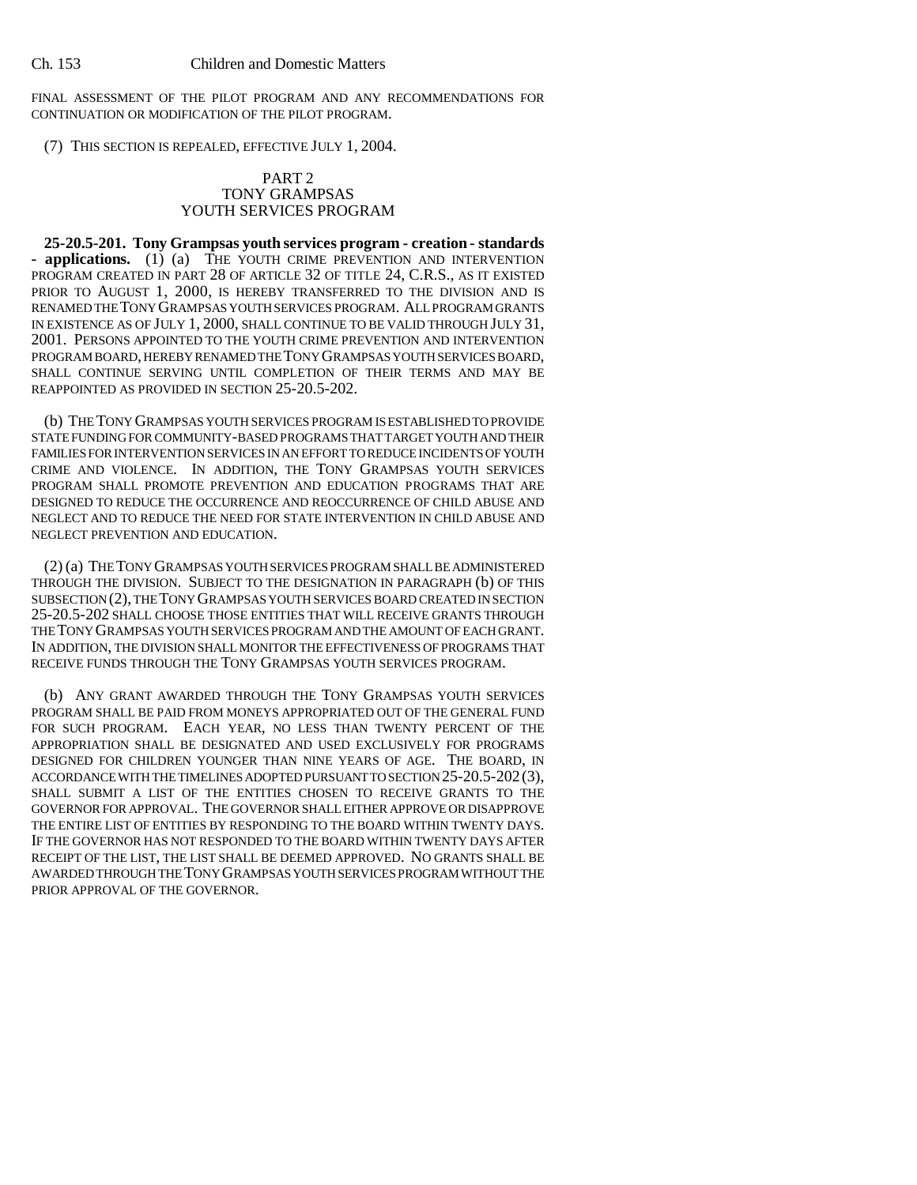FINAL ASSESSMENT OF THE PILOT PROGRAM AND ANY RECOMMENDATIONS FOR CONTINUATION OR MODIFICATION OF THE PILOT PROGRAM.

(7) THIS SECTION IS REPEALED, EFFECTIVE JULY 1, 2004.

### PART 2 TONY GRAMPSAS YOUTH SERVICES PROGRAM

**25-20.5-201. Tony Grampsas youth services program - creation - standards - applications.** (1) (a) THE YOUTH CRIME PREVENTION AND INTERVENTION PROGRAM CREATED IN PART 28 OF ARTICLE 32 OF TITLE 24, C.R.S., AS IT EXISTED PRIOR TO AUGUST 1, 2000, IS HEREBY TRANSFERRED TO THE DIVISION AND IS RENAMED THE TONY GRAMPSAS YOUTH SERVICES PROGRAM. ALL PROGRAM GRANTS IN EXISTENCE AS OF JULY 1, 2000, SHALL CONTINUE TO BE VALID THROUGH JULY 31, 2001. PERSONS APPOINTED TO THE YOUTH CRIME PREVENTION AND INTERVENTION PROGRAM BOARD, HEREBY RENAMED THE TONY GRAMPSAS YOUTH SERVICES BOARD, SHALL CONTINUE SERVING UNTIL COMPLETION OF THEIR TERMS AND MAY BE REAPPOINTED AS PROVIDED IN SECTION 25-20.5-202.

(b) THE TONY GRAMPSAS YOUTH SERVICES PROGRAM IS ESTABLISHED TO PROVIDE STATE FUNDING FOR COMMUNITY-BASED PROGRAMS THAT TARGET YOUTH AND THEIR FAMILIES FOR INTERVENTION SERVICES IN AN EFFORT TO REDUCE INCIDENTS OF YOUTH CRIME AND VIOLENCE. IN ADDITION, THE TONY GRAMPSAS YOUTH SERVICES PROGRAM SHALL PROMOTE PREVENTION AND EDUCATION PROGRAMS THAT ARE DESIGNED TO REDUCE THE OCCURRENCE AND REOCCURRENCE OF CHILD ABUSE AND NEGLECT AND TO REDUCE THE NEED FOR STATE INTERVENTION IN CHILD ABUSE AND NEGLECT PREVENTION AND EDUCATION.

(2) (a) THE TONY GRAMPSAS YOUTH SERVICES PROGRAM SHALL BE ADMINISTERED THROUGH THE DIVISION. SUBJECT TO THE DESIGNATION IN PARAGRAPH (b) OF THIS SUBSECTION (2), THE TONY GRAMPSAS YOUTH SERVICES BOARD CREATED IN SECTION 25-20.5-202 SHALL CHOOSE THOSE ENTITIES THAT WILL RECEIVE GRANTS THROUGH THE TONY GRAMPSAS YOUTH SERVICES PROGRAM AND THE AMOUNT OF EACH GRANT. IN ADDITION, THE DIVISION SHALL MONITOR THE EFFECTIVENESS OF PROGRAMS THAT RECEIVE FUNDS THROUGH THE TONY GRAMPSAS YOUTH SERVICES PROGRAM.

(b) ANY GRANT AWARDED THROUGH THE TONY GRAMPSAS YOUTH SERVICES PROGRAM SHALL BE PAID FROM MONEYS APPROPRIATED OUT OF THE GENERAL FUND FOR SUCH PROGRAM. EACH YEAR, NO LESS THAN TWENTY PERCENT OF THE APPROPRIATION SHALL BE DESIGNATED AND USED EXCLUSIVELY FOR PROGRAMS DESIGNED FOR CHILDREN YOUNGER THAN NINE YEARS OF AGE. THE BOARD, IN ACCORDANCE WITH THE TIMELINES ADOPTED PURSUANT TO SECTION 25-20.5-202(3), SHALL SUBMIT A LIST OF THE ENTITIES CHOSEN TO RECEIVE GRANTS TO THE GOVERNOR FOR APPROVAL. THE GOVERNOR SHALL EITHER APPROVE OR DISAPPROVE THE ENTIRE LIST OF ENTITIES BY RESPONDING TO THE BOARD WITHIN TWENTY DAYS. IF THE GOVERNOR HAS NOT RESPONDED TO THE BOARD WITHIN TWENTY DAYS AFTER RECEIPT OF THE LIST, THE LIST SHALL BE DEEMED APPROVED. NO GRANTS SHALL BE AWARDED THROUGH THE TONY GRAMPSAS YOUTH SERVICES PROGRAM WITHOUT THE PRIOR APPROVAL OF THE GOVERNOR.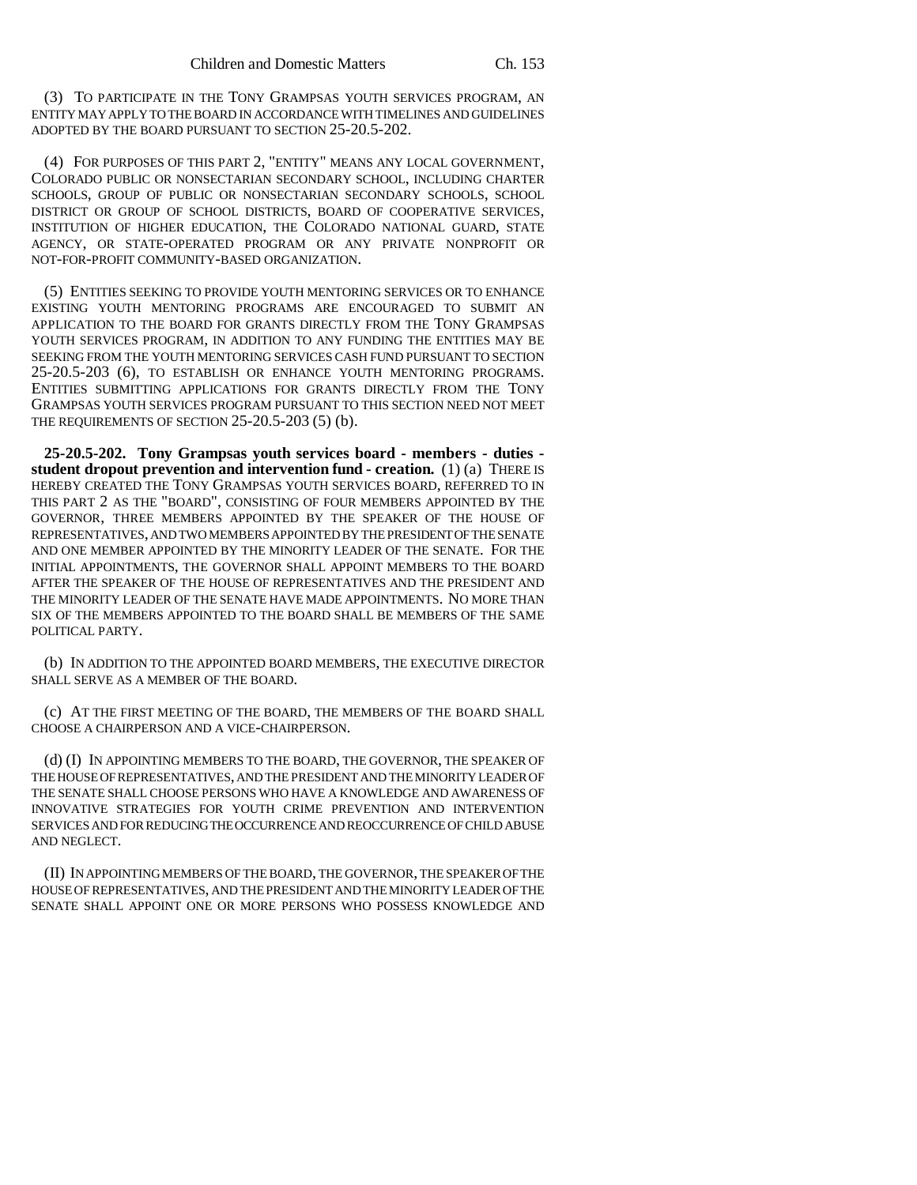(3) TO PARTICIPATE IN THE TONY GRAMPSAS YOUTH SERVICES PROGRAM, AN ENTITY MAY APPLY TO THE BOARD IN ACCORDANCE WITH TIMELINES AND GUIDELINES ADOPTED BY THE BOARD PURSUANT TO SECTION 25-20.5-202.

(4) FOR PURPOSES OF THIS PART 2, "ENTITY" MEANS ANY LOCAL GOVERNMENT, COLORADO PUBLIC OR NONSECTARIAN SECONDARY SCHOOL, INCLUDING CHARTER SCHOOLS, GROUP OF PUBLIC OR NONSECTARIAN SECONDARY SCHOOLS, SCHOOL DISTRICT OR GROUP OF SCHOOL DISTRICTS, BOARD OF COOPERATIVE SERVICES, INSTITUTION OF HIGHER EDUCATION, THE COLORADO NATIONAL GUARD, STATE AGENCY, OR STATE-OPERATED PROGRAM OR ANY PRIVATE NONPROFIT OR NOT-FOR-PROFIT COMMUNITY-BASED ORGANIZATION.

(5) ENTITIES SEEKING TO PROVIDE YOUTH MENTORING SERVICES OR TO ENHANCE EXISTING YOUTH MENTORING PROGRAMS ARE ENCOURAGED TO SUBMIT AN APPLICATION TO THE BOARD FOR GRANTS DIRECTLY FROM THE TONY GRAMPSAS YOUTH SERVICES PROGRAM, IN ADDITION TO ANY FUNDING THE ENTITIES MAY BE SEEKING FROM THE YOUTH MENTORING SERVICES CASH FUND PURSUANT TO SECTION 25-20.5-203 (6), TO ESTABLISH OR ENHANCE YOUTH MENTORING PROGRAMS. ENTITIES SUBMITTING APPLICATIONS FOR GRANTS DIRECTLY FROM THE TONY GRAMPSAS YOUTH SERVICES PROGRAM PURSUANT TO THIS SECTION NEED NOT MEET THE REQUIREMENTS OF SECTION 25-20.5-203 (5) (b).

**25-20.5-202. Tony Grampsas youth services board - members - duties student dropout prevention and intervention fund - creation.** (1) (a) THERE IS HEREBY CREATED THE TONY GRAMPSAS YOUTH SERVICES BOARD, REFERRED TO IN THIS PART 2 AS THE "BOARD", CONSISTING OF FOUR MEMBERS APPOINTED BY THE GOVERNOR, THREE MEMBERS APPOINTED BY THE SPEAKER OF THE HOUSE OF REPRESENTATIVES, AND TWO MEMBERS APPOINTED BY THE PRESIDENT OF THE SENATE AND ONE MEMBER APPOINTED BY THE MINORITY LEADER OF THE SENATE. FOR THE INITIAL APPOINTMENTS, THE GOVERNOR SHALL APPOINT MEMBERS TO THE BOARD AFTER THE SPEAKER OF THE HOUSE OF REPRESENTATIVES AND THE PRESIDENT AND THE MINORITY LEADER OF THE SENATE HAVE MADE APPOINTMENTS. NO MORE THAN SIX OF THE MEMBERS APPOINTED TO THE BOARD SHALL BE MEMBERS OF THE SAME POLITICAL PARTY.

(b) IN ADDITION TO THE APPOINTED BOARD MEMBERS, THE EXECUTIVE DIRECTOR SHALL SERVE AS A MEMBER OF THE BOARD.

(c) AT THE FIRST MEETING OF THE BOARD, THE MEMBERS OF THE BOARD SHALL CHOOSE A CHAIRPERSON AND A VICE-CHAIRPERSON.

(d) (I) IN APPOINTING MEMBERS TO THE BOARD, THE GOVERNOR, THE SPEAKER OF THE HOUSE OF REPRESENTATIVES, AND THE PRESIDENT AND THE MINORITY LEADER OF THE SENATE SHALL CHOOSE PERSONS WHO HAVE A KNOWLEDGE AND AWARENESS OF INNOVATIVE STRATEGIES FOR YOUTH CRIME PREVENTION AND INTERVENTION SERVICES AND FOR REDUCING THE OCCURRENCE AND REOCCURRENCE OF CHILD ABUSE AND NEGLECT.

(II) IN APPOINTING MEMBERS OF THE BOARD, THE GOVERNOR, THE SPEAKER OF THE HOUSE OF REPRESENTATIVES, AND THE PRESIDENT AND THE MINORITY LEADER OF THE SENATE SHALL APPOINT ONE OR MORE PERSONS WHO POSSESS KNOWLEDGE AND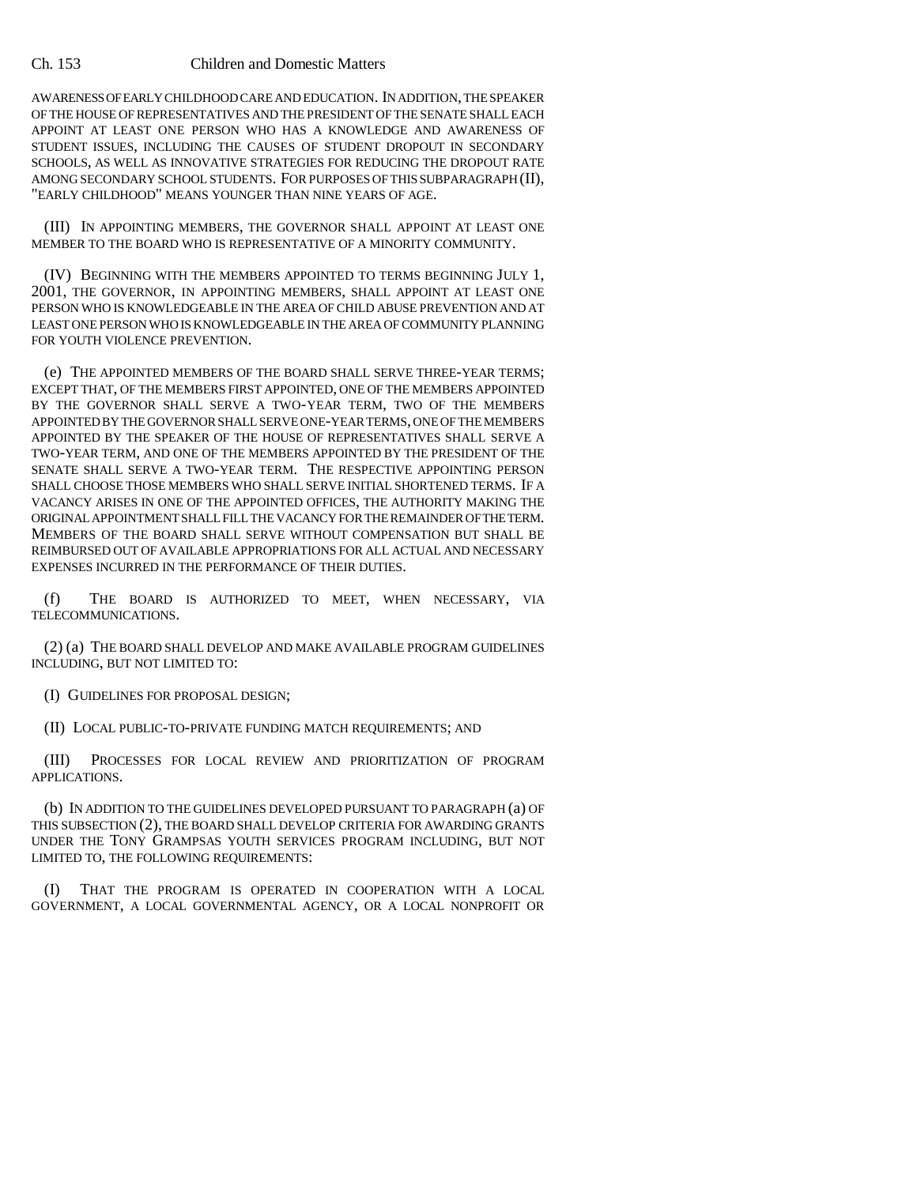AWARENESS OF EARLY CHILDHOOD CARE AND EDUCATION. IN ADDITION, THE SPEAKER OF THE HOUSE OF REPRESENTATIVES AND THE PRESIDENT OF THE SENATE SHALL EACH APPOINT AT LEAST ONE PERSON WHO HAS A KNOWLEDGE AND AWARENESS OF STUDENT ISSUES, INCLUDING THE CAUSES OF STUDENT DROPOUT IN SECONDARY SCHOOLS, AS WELL AS INNOVATIVE STRATEGIES FOR REDUCING THE DROPOUT RATE AMONG SECONDARY SCHOOL STUDENTS. FOR PURPOSES OF THIS SUBPARAGRAPH (II), "EARLY CHILDHOOD" MEANS YOUNGER THAN NINE YEARS OF AGE.

(III) IN APPOINTING MEMBERS, THE GOVERNOR SHALL APPOINT AT LEAST ONE MEMBER TO THE BOARD WHO IS REPRESENTATIVE OF A MINORITY COMMUNITY.

(IV) BEGINNING WITH THE MEMBERS APPOINTED TO TERMS BEGINNING JULY 1, 2001, THE GOVERNOR, IN APPOINTING MEMBERS, SHALL APPOINT AT LEAST ONE PERSON WHO IS KNOWLEDGEABLE IN THE AREA OF CHILD ABUSE PREVENTION AND AT LEAST ONE PERSON WHO IS KNOWLEDGEABLE IN THE AREA OF COMMUNITY PLANNING FOR YOUTH VIOLENCE PREVENTION.

(e) THE APPOINTED MEMBERS OF THE BOARD SHALL SERVE THREE-YEAR TERMS; EXCEPT THAT, OF THE MEMBERS FIRST APPOINTED, ONE OF THE MEMBERS APPOINTED BY THE GOVERNOR SHALL SERVE A TWO-YEAR TERM, TWO OF THE MEMBERS APPOINTED BY THE GOVERNOR SHALL SERVE ONE-YEAR TERMS, ONE OF THE MEMBERS APPOINTED BY THE SPEAKER OF THE HOUSE OF REPRESENTATIVES SHALL SERVE A TWO-YEAR TERM, AND ONE OF THE MEMBERS APPOINTED BY THE PRESIDENT OF THE SENATE SHALL SERVE A TWO-YEAR TERM. THE RESPECTIVE APPOINTING PERSON SHALL CHOOSE THOSE MEMBERS WHO SHALL SERVE INITIAL SHORTENED TERMS. IF A VACANCY ARISES IN ONE OF THE APPOINTED OFFICES, THE AUTHORITY MAKING THE ORIGINAL APPOINTMENT SHALL FILL THE VACANCY FOR THE REMAINDER OF THE TERM. MEMBERS OF THE BOARD SHALL SERVE WITHOUT COMPENSATION BUT SHALL BE REIMBURSED OUT OF AVAILABLE APPROPRIATIONS FOR ALL ACTUAL AND NECESSARY EXPENSES INCURRED IN THE PERFORMANCE OF THEIR DUTIES.

(f) THE BOARD IS AUTHORIZED TO MEET, WHEN NECESSARY, VIA TELECOMMUNICATIONS.

(2) (a) THE BOARD SHALL DEVELOP AND MAKE AVAILABLE PROGRAM GUIDELINES INCLUDING, BUT NOT LIMITED TO:

(I) GUIDELINES FOR PROPOSAL DESIGN;

(II) LOCAL PUBLIC-TO-PRIVATE FUNDING MATCH REQUIREMENTS; AND

(III) PROCESSES FOR LOCAL REVIEW AND PRIORITIZATION OF PROGRAM APPLICATIONS.

(b) IN ADDITION TO THE GUIDELINES DEVELOPED PURSUANT TO PARAGRAPH (a) OF THIS SUBSECTION (2), THE BOARD SHALL DEVELOP CRITERIA FOR AWARDING GRANTS UNDER THE TONY GRAMPSAS YOUTH SERVICES PROGRAM INCLUDING, BUT NOT LIMITED TO, THE FOLLOWING REQUIREMENTS:

(I) THAT THE PROGRAM IS OPERATED IN COOPERATION WITH A LOCAL GOVERNMENT, A LOCAL GOVERNMENTAL AGENCY, OR A LOCAL NONPROFIT OR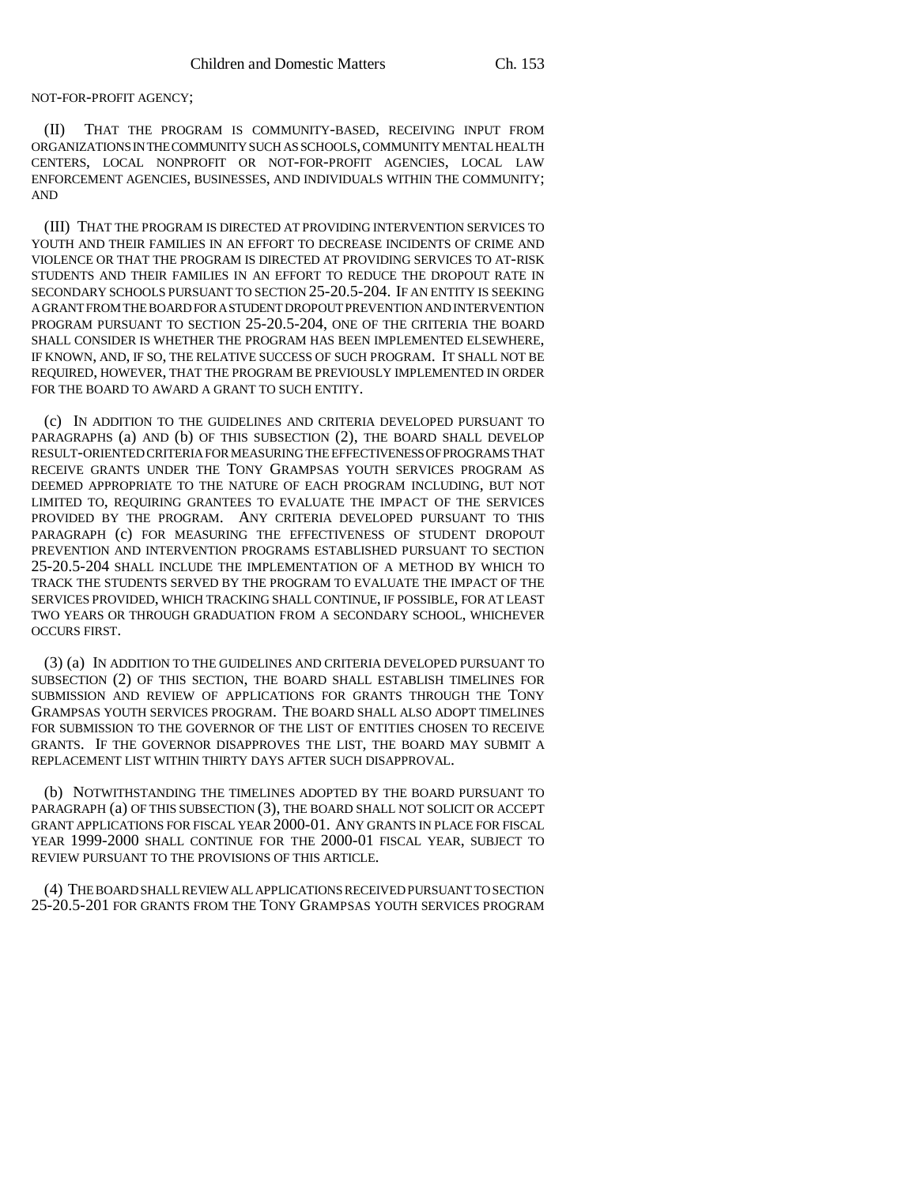NOT-FOR-PROFIT AGENCY;

(II) THAT THE PROGRAM IS COMMUNITY-BASED, RECEIVING INPUT FROM ORGANIZATIONS IN THE COMMUNITY SUCH AS SCHOOLS, COMMUNITY MENTAL HEALTH CENTERS, LOCAL NONPROFIT OR NOT-FOR-PROFIT AGENCIES, LOCAL LAW ENFORCEMENT AGENCIES, BUSINESSES, AND INDIVIDUALS WITHIN THE COMMUNITY; AND

(III) THAT THE PROGRAM IS DIRECTED AT PROVIDING INTERVENTION SERVICES TO YOUTH AND THEIR FAMILIES IN AN EFFORT TO DECREASE INCIDENTS OF CRIME AND VIOLENCE OR THAT THE PROGRAM IS DIRECTED AT PROVIDING SERVICES TO AT-RISK STUDENTS AND THEIR FAMILIES IN AN EFFORT TO REDUCE THE DROPOUT RATE IN SECONDARY SCHOOLS PURSUANT TO SECTION 25-20.5-204. IF AN ENTITY IS SEEKING A GRANT FROM THE BOARD FOR A STUDENT DROPOUT PREVENTION AND INTERVENTION PROGRAM PURSUANT TO SECTION 25-20.5-204, ONE OF THE CRITERIA THE BOARD SHALL CONSIDER IS WHETHER THE PROGRAM HAS BEEN IMPLEMENTED ELSEWHERE, IF KNOWN, AND, IF SO, THE RELATIVE SUCCESS OF SUCH PROGRAM. IT SHALL NOT BE REQUIRED, HOWEVER, THAT THE PROGRAM BE PREVIOUSLY IMPLEMENTED IN ORDER FOR THE BOARD TO AWARD A GRANT TO SUCH ENTITY.

(c) IN ADDITION TO THE GUIDELINES AND CRITERIA DEVELOPED PURSUANT TO PARAGRAPHS (a) AND (b) OF THIS SUBSECTION (2), THE BOARD SHALL DEVELOP RESULT-ORIENTED CRITERIA FOR MEASURING THE EFFECTIVENESS OF PROGRAMS THAT RECEIVE GRANTS UNDER THE TONY GRAMPSAS YOUTH SERVICES PROGRAM AS DEEMED APPROPRIATE TO THE NATURE OF EACH PROGRAM INCLUDING, BUT NOT LIMITED TO, REQUIRING GRANTEES TO EVALUATE THE IMPACT OF THE SERVICES PROVIDED BY THE PROGRAM. ANY CRITERIA DEVELOPED PURSUANT TO THIS PARAGRAPH (c) FOR MEASURING THE EFFECTIVENESS OF STUDENT DROPOUT PREVENTION AND INTERVENTION PROGRAMS ESTABLISHED PURSUANT TO SECTION 25-20.5-204 SHALL INCLUDE THE IMPLEMENTATION OF A METHOD BY WHICH TO TRACK THE STUDENTS SERVED BY THE PROGRAM TO EVALUATE THE IMPACT OF THE SERVICES PROVIDED, WHICH TRACKING SHALL CONTINUE, IF POSSIBLE, FOR AT LEAST TWO YEARS OR THROUGH GRADUATION FROM A SECONDARY SCHOOL, WHICHEVER OCCURS FIRST.

(3) (a) IN ADDITION TO THE GUIDELINES AND CRITERIA DEVELOPED PURSUANT TO SUBSECTION (2) OF THIS SECTION, THE BOARD SHALL ESTABLISH TIMELINES FOR SUBMISSION AND REVIEW OF APPLICATIONS FOR GRANTS THROUGH THE TONY GRAMPSAS YOUTH SERVICES PROGRAM. THE BOARD SHALL ALSO ADOPT TIMELINES FOR SUBMISSION TO THE GOVERNOR OF THE LIST OF ENTITIES CHOSEN TO RECEIVE GRANTS. IF THE GOVERNOR DISAPPROVES THE LIST, THE BOARD MAY SUBMIT A REPLACEMENT LIST WITHIN THIRTY DAYS AFTER SUCH DISAPPROVAL.

(b) NOTWITHSTANDING THE TIMELINES ADOPTED BY THE BOARD PURSUANT TO PARAGRAPH (a) OF THIS SUBSECTION (3), THE BOARD SHALL NOT SOLICIT OR ACCEPT GRANT APPLICATIONS FOR FISCAL YEAR 2000-01. ANY GRANTS IN PLACE FOR FISCAL YEAR 1999-2000 SHALL CONTINUE FOR THE 2000-01 FISCAL YEAR, SUBJECT TO REVIEW PURSUANT TO THE PROVISIONS OF THIS ARTICLE.

(4) THE BOARD SHALL REVIEW ALL APPLICATIONS RECEIVED PURSUANT TO SECTION 25-20.5-201 FOR GRANTS FROM THE TONY GRAMPSAS YOUTH SERVICES PROGRAM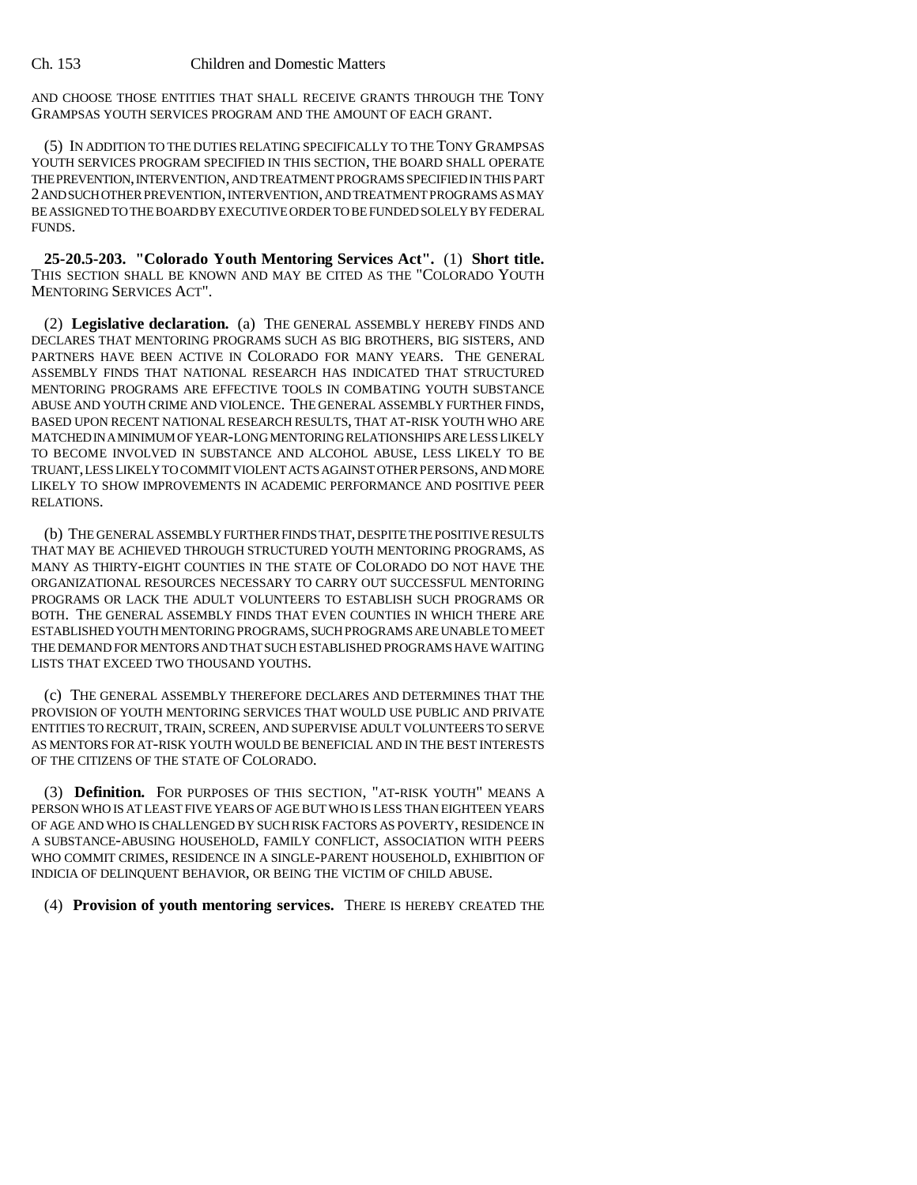AND CHOOSE THOSE ENTITIES THAT SHALL RECEIVE GRANTS THROUGH THE TONY GRAMPSAS YOUTH SERVICES PROGRAM AND THE AMOUNT OF EACH GRANT.

(5) IN ADDITION TO THE DUTIES RELATING SPECIFICALLY TO THE TONY GRAMPSAS YOUTH SERVICES PROGRAM SPECIFIED IN THIS SECTION, THE BOARD SHALL OPERATE THE PREVENTION, INTERVENTION, AND TREATMENT PROGRAMS SPECIFIED IN THIS PART 2 AND SUCH OTHER PREVENTION, INTERVENTION, AND TREATMENT PROGRAMS AS MAY BE ASSIGNED TO THE BOARD BY EXECUTIVE ORDER TO BE FUNDED SOLELY BY FEDERAL FUNDS.

**25-20.5-203. "Colorado Youth Mentoring Services Act".** (1) **Short title.** THIS SECTION SHALL BE KNOWN AND MAY BE CITED AS THE "COLORADO YOUTH MENTORING SERVICES ACT".

(2) **Legislative declaration.** (a) THE GENERAL ASSEMBLY HEREBY FINDS AND DECLARES THAT MENTORING PROGRAMS SUCH AS BIG BROTHERS, BIG SISTERS, AND PARTNERS HAVE BEEN ACTIVE IN COLORADO FOR MANY YEARS. THE GENERAL ASSEMBLY FINDS THAT NATIONAL RESEARCH HAS INDICATED THAT STRUCTURED MENTORING PROGRAMS ARE EFFECTIVE TOOLS IN COMBATING YOUTH SUBSTANCE ABUSE AND YOUTH CRIME AND VIOLENCE. THE GENERAL ASSEMBLY FURTHER FINDS, BASED UPON RECENT NATIONAL RESEARCH RESULTS, THAT AT-RISK YOUTH WHO ARE MATCHED IN A MINIMUM OF YEAR-LONG MENTORING RELATIONSHIPS ARE LESS LIKELY TO BECOME INVOLVED IN SUBSTANCE AND ALCOHOL ABUSE, LESS LIKELY TO BE TRUANT, LESS LIKELY TO COMMIT VIOLENT ACTS AGAINST OTHER PERSONS, AND MORE LIKELY TO SHOW IMPROVEMENTS IN ACADEMIC PERFORMANCE AND POSITIVE PEER RELATIONS.

(b) THE GENERAL ASSEMBLY FURTHER FINDS THAT, DESPITE THE POSITIVE RESULTS THAT MAY BE ACHIEVED THROUGH STRUCTURED YOUTH MENTORING PROGRAMS, AS MANY AS THIRTY-EIGHT COUNTIES IN THE STATE OF COLORADO DO NOT HAVE THE ORGANIZATIONAL RESOURCES NECESSARY TO CARRY OUT SUCCESSFUL MENTORING PROGRAMS OR LACK THE ADULT VOLUNTEERS TO ESTABLISH SUCH PROGRAMS OR BOTH. THE GENERAL ASSEMBLY FINDS THAT EVEN COUNTIES IN WHICH THERE ARE ESTABLISHED YOUTH MENTORING PROGRAMS, SUCH PROGRAMS ARE UNABLE TO MEET THE DEMAND FOR MENTORS AND THAT SUCH ESTABLISHED PROGRAMS HAVE WAITING LISTS THAT EXCEED TWO THOUSAND YOUTHS.

(c) THE GENERAL ASSEMBLY THEREFORE DECLARES AND DETERMINES THAT THE PROVISION OF YOUTH MENTORING SERVICES THAT WOULD USE PUBLIC AND PRIVATE ENTITIES TO RECRUIT, TRAIN, SCREEN, AND SUPERVISE ADULT VOLUNTEERS TO SERVE AS MENTORS FOR AT-RISK YOUTH WOULD BE BENEFICIAL AND IN THE BEST INTERESTS OF THE CITIZENS OF THE STATE OF COLORADO.

(3) **Definition.** FOR PURPOSES OF THIS SECTION, "AT-RISK YOUTH" MEANS A PERSON WHO IS AT LEAST FIVE YEARS OF AGE BUT WHO IS LESS THAN EIGHTEEN YEARS OF AGE AND WHO IS CHALLENGED BY SUCH RISK FACTORS AS POVERTY, RESIDENCE IN A SUBSTANCE-ABUSING HOUSEHOLD, FAMILY CONFLICT, ASSOCIATION WITH PEERS WHO COMMIT CRIMES, RESIDENCE IN A SINGLE-PARENT HOUSEHOLD, EXHIBITION OF INDICIA OF DELINQUENT BEHAVIOR, OR BEING THE VICTIM OF CHILD ABUSE.

(4) **Provision of youth mentoring services.** THERE IS HEREBY CREATED THE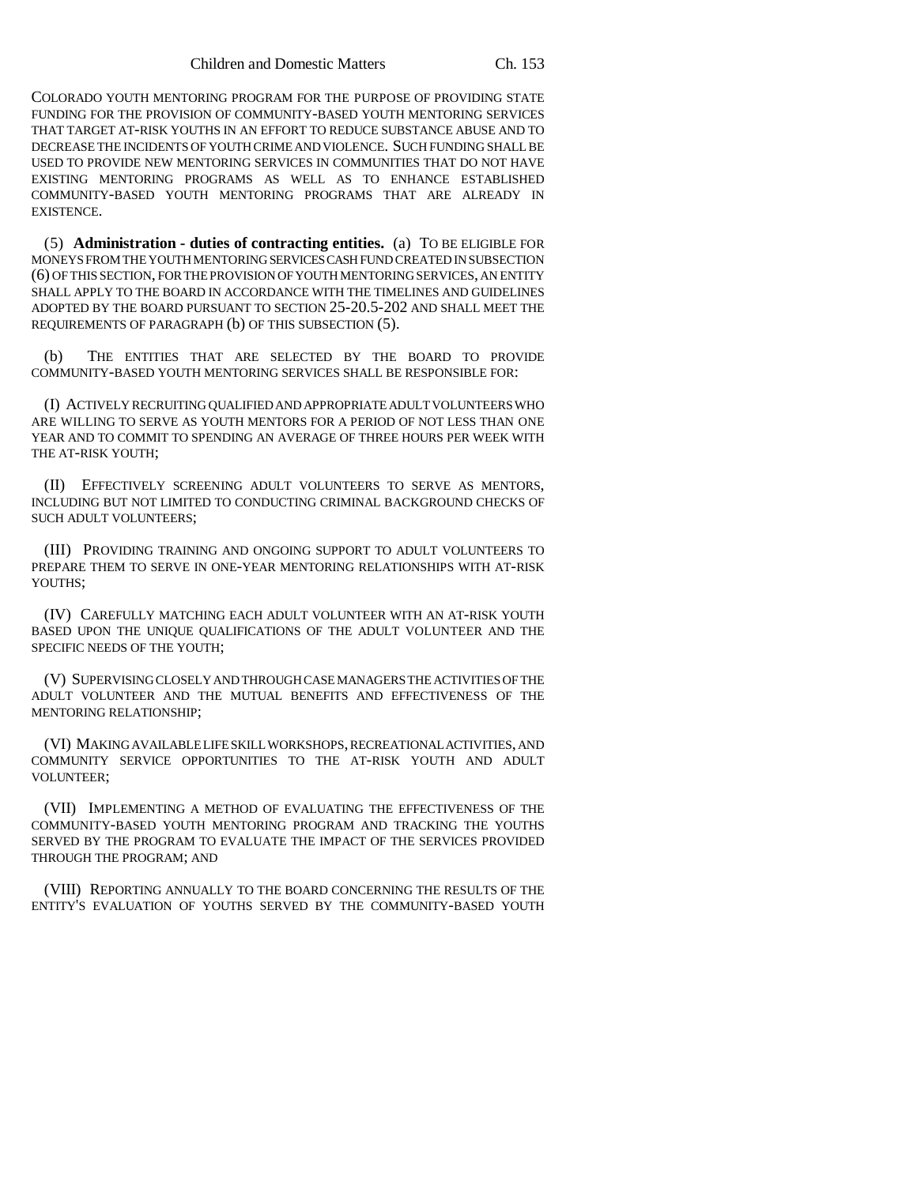COLORADO YOUTH MENTORING PROGRAM FOR THE PURPOSE OF PROVIDING STATE FUNDING FOR THE PROVISION OF COMMUNITY-BASED YOUTH MENTORING SERVICES THAT TARGET AT-RISK YOUTHS IN AN EFFORT TO REDUCE SUBSTANCE ABUSE AND TO DECREASE THE INCIDENTS OF YOUTH CRIME AND VIOLENCE. SUCH FUNDING SHALL BE USED TO PROVIDE NEW MENTORING SERVICES IN COMMUNITIES THAT DO NOT HAVE EXISTING MENTORING PROGRAMS AS WELL AS TO ENHANCE ESTABLISHED COMMUNITY-BASED YOUTH MENTORING PROGRAMS THAT ARE ALREADY IN **EXISTENCE.** 

(5) **Administration - duties of contracting entities.** (a) TO BE ELIGIBLE FOR MONEYS FROM THE YOUTH MENTORING SERVICES CASH FUND CREATED IN SUBSECTION (6) OF THIS SECTION, FOR THE PROVISION OF YOUTH MENTORING SERVICES, AN ENTITY SHALL APPLY TO THE BOARD IN ACCORDANCE WITH THE TIMELINES AND GUIDELINES ADOPTED BY THE BOARD PURSUANT TO SECTION 25-20.5-202 AND SHALL MEET THE REQUIREMENTS OF PARAGRAPH (b) OF THIS SUBSECTION (5).

(b) THE ENTITIES THAT ARE SELECTED BY THE BOARD TO PROVIDE COMMUNITY-BASED YOUTH MENTORING SERVICES SHALL BE RESPONSIBLE FOR:

(I) ACTIVELY RECRUITING QUALIFIED AND APPROPRIATE ADULT VOLUNTEERS WHO ARE WILLING TO SERVE AS YOUTH MENTORS FOR A PERIOD OF NOT LESS THAN ONE YEAR AND TO COMMIT TO SPENDING AN AVERAGE OF THREE HOURS PER WEEK WITH THE AT-RISK YOUTH;

(II) EFFECTIVELY SCREENING ADULT VOLUNTEERS TO SERVE AS MENTORS, INCLUDING BUT NOT LIMITED TO CONDUCTING CRIMINAL BACKGROUND CHECKS OF SUCH ADULT VOLUNTEERS;

(III) PROVIDING TRAINING AND ONGOING SUPPORT TO ADULT VOLUNTEERS TO PREPARE THEM TO SERVE IN ONE-YEAR MENTORING RELATIONSHIPS WITH AT-RISK YOUTHS;

(IV) CAREFULLY MATCHING EACH ADULT VOLUNTEER WITH AN AT-RISK YOUTH BASED UPON THE UNIQUE QUALIFICATIONS OF THE ADULT VOLUNTEER AND THE SPECIFIC NEEDS OF THE YOUTH;

(V) SUPERVISING CLOSELY AND THROUGH CASE MANAGERS THE ACTIVITIES OF THE ADULT VOLUNTEER AND THE MUTUAL BENEFITS AND EFFECTIVENESS OF THE MENTORING RELATIONSHIP;

(VI) MAKING AVAILABLE LIFE SKILL WORKSHOPS, RECREATIONAL ACTIVITIES, AND COMMUNITY SERVICE OPPORTUNITIES TO THE AT-RISK YOUTH AND ADULT VOLUNTEER;

(VII) IMPLEMENTING A METHOD OF EVALUATING THE EFFECTIVENESS OF THE COMMUNITY-BASED YOUTH MENTORING PROGRAM AND TRACKING THE YOUTHS SERVED BY THE PROGRAM TO EVALUATE THE IMPACT OF THE SERVICES PROVIDED THROUGH THE PROGRAM; AND

(VIII) REPORTING ANNUALLY TO THE BOARD CONCERNING THE RESULTS OF THE ENTITY'S EVALUATION OF YOUTHS SERVED BY THE COMMUNITY-BASED YOUTH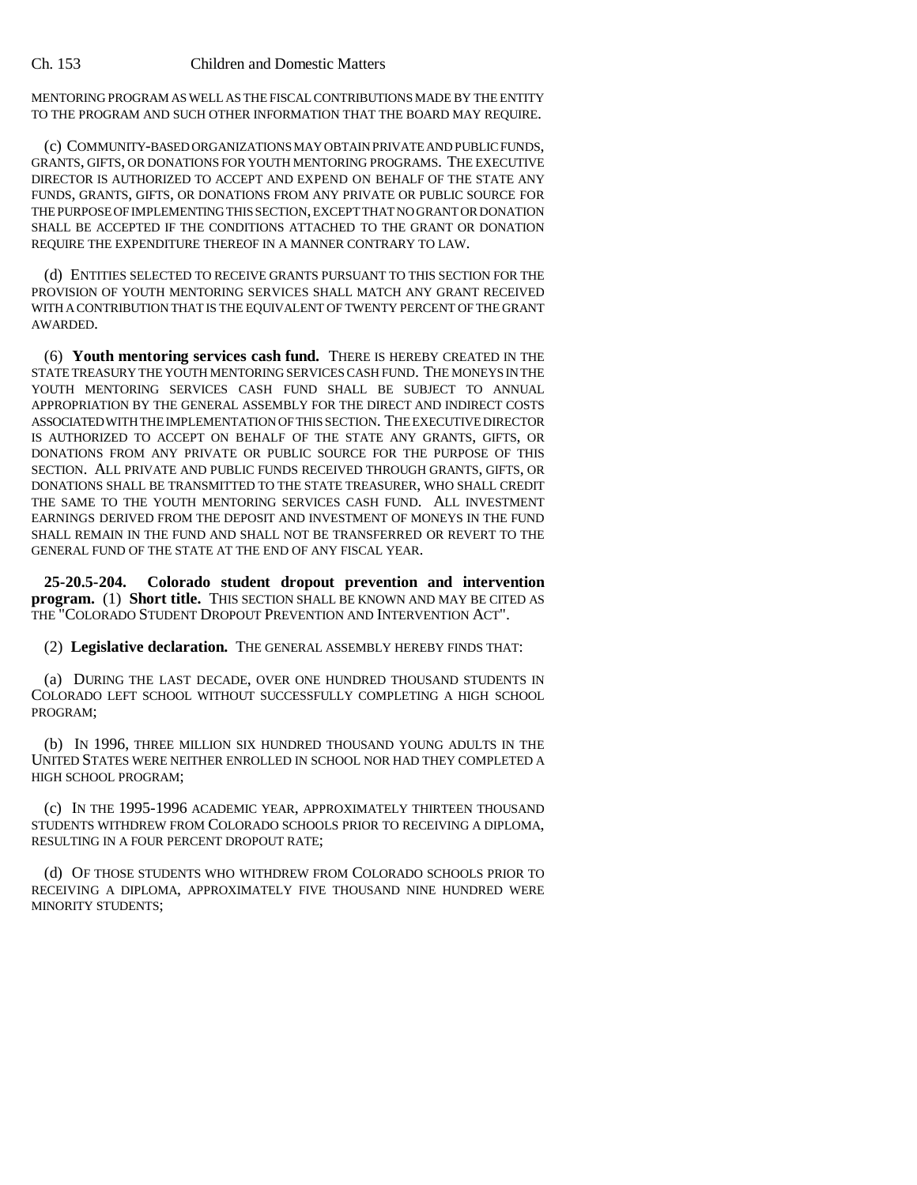MENTORING PROGRAM AS WELL AS THE FISCAL CONTRIBUTIONS MADE BY THE ENTITY TO THE PROGRAM AND SUCH OTHER INFORMATION THAT THE BOARD MAY REQUIRE.

(c) COMMUNITY-BASED ORGANIZATIONS MAY OBTAIN PRIVATE AND PUBLIC FUNDS, GRANTS, GIFTS, OR DONATIONS FOR YOUTH MENTORING PROGRAMS. THE EXECUTIVE DIRECTOR IS AUTHORIZED TO ACCEPT AND EXPEND ON BEHALF OF THE STATE ANY FUNDS, GRANTS, GIFTS, OR DONATIONS FROM ANY PRIVATE OR PUBLIC SOURCE FOR THE PURPOSE OF IMPLEMENTING THIS SECTION, EXCEPT THAT NO GRANT OR DONATION SHALL BE ACCEPTED IF THE CONDITIONS ATTACHED TO THE GRANT OR DONATION REQUIRE THE EXPENDITURE THEREOF IN A MANNER CONTRARY TO LAW.

(d) ENTITIES SELECTED TO RECEIVE GRANTS PURSUANT TO THIS SECTION FOR THE PROVISION OF YOUTH MENTORING SERVICES SHALL MATCH ANY GRANT RECEIVED WITH A CONTRIBUTION THAT IS THE EQUIVALENT OF TWENTY PERCENT OF THE GRANT AWARDED.

(6) **Youth mentoring services cash fund.** THERE IS HEREBY CREATED IN THE STATE TREASURY THE YOUTH MENTORING SERVICES CASH FUND. THE MONEYS IN THE YOUTH MENTORING SERVICES CASH FUND SHALL BE SUBJECT TO ANNUAL APPROPRIATION BY THE GENERAL ASSEMBLY FOR THE DIRECT AND INDIRECT COSTS ASSOCIATED WITH THE IMPLEMENTATION OF THIS SECTION. THE EXECUTIVE DIRECTOR IS AUTHORIZED TO ACCEPT ON BEHALF OF THE STATE ANY GRANTS, GIFTS, OR DONATIONS FROM ANY PRIVATE OR PUBLIC SOURCE FOR THE PURPOSE OF THIS SECTION. ALL PRIVATE AND PUBLIC FUNDS RECEIVED THROUGH GRANTS, GIFTS, OR DONATIONS SHALL BE TRANSMITTED TO THE STATE TREASURER, WHO SHALL CREDIT THE SAME TO THE YOUTH MENTORING SERVICES CASH FUND. ALL INVESTMENT EARNINGS DERIVED FROM THE DEPOSIT AND INVESTMENT OF MONEYS IN THE FUND SHALL REMAIN IN THE FUND AND SHALL NOT BE TRANSFERRED OR REVERT TO THE GENERAL FUND OF THE STATE AT THE END OF ANY FISCAL YEAR.

**25-20.5-204. Colorado student dropout prevention and intervention program.** (1) **Short title.** THIS SECTION SHALL BE KNOWN AND MAY BE CITED AS THE "COLORADO STUDENT DROPOUT PREVENTION AND INTERVENTION ACT".

(2) **Legislative declaration.** THE GENERAL ASSEMBLY HEREBY FINDS THAT:

(a) DURING THE LAST DECADE, OVER ONE HUNDRED THOUSAND STUDENTS IN COLORADO LEFT SCHOOL WITHOUT SUCCESSFULLY COMPLETING A HIGH SCHOOL PROGRAM;

(b) IN 1996, THREE MILLION SIX HUNDRED THOUSAND YOUNG ADULTS IN THE UNITED STATES WERE NEITHER ENROLLED IN SCHOOL NOR HAD THEY COMPLETED A HIGH SCHOOL PROGRAM;

(c) IN THE 1995-1996 ACADEMIC YEAR, APPROXIMATELY THIRTEEN THOUSAND STUDENTS WITHDREW FROM COLORADO SCHOOLS PRIOR TO RECEIVING A DIPLOMA, RESULTING IN A FOUR PERCENT DROPOUT RATE;

(d) OF THOSE STUDENTS WHO WITHDREW FROM COLORADO SCHOOLS PRIOR TO RECEIVING A DIPLOMA, APPROXIMATELY FIVE THOUSAND NINE HUNDRED WERE MINORITY STUDENTS;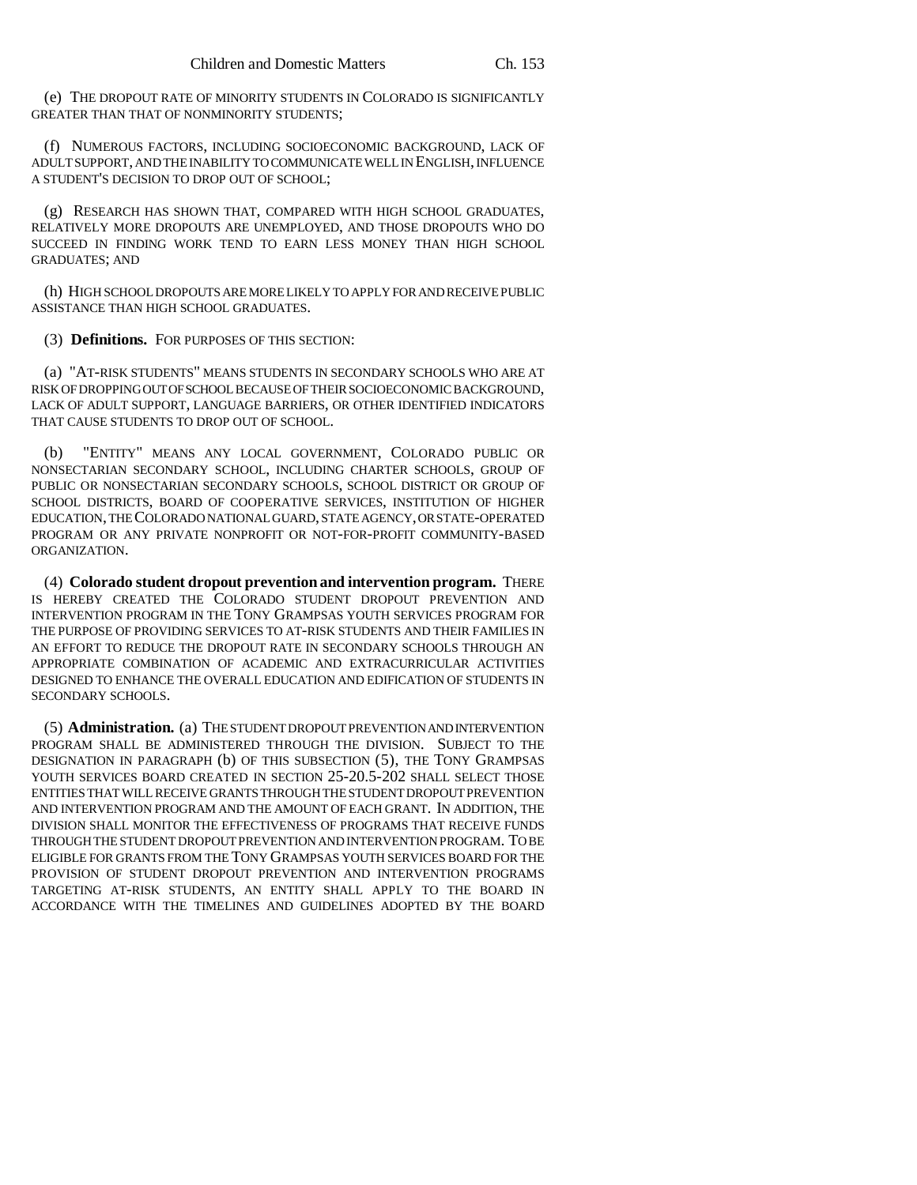(e) THE DROPOUT RATE OF MINORITY STUDENTS IN COLORADO IS SIGNIFICANTLY GREATER THAN THAT OF NONMINORITY STUDENTS;

(f) NUMEROUS FACTORS, INCLUDING SOCIOECONOMIC BACKGROUND, LACK OF ADULT SUPPORT, AND THE INABILITY TO COMMUNICATE WELL IN ENGLISH, INFLUENCE A STUDENT'S DECISION TO DROP OUT OF SCHOOL;

(g) RESEARCH HAS SHOWN THAT, COMPARED WITH HIGH SCHOOL GRADUATES, RELATIVELY MORE DROPOUTS ARE UNEMPLOYED, AND THOSE DROPOUTS WHO DO SUCCEED IN FINDING WORK TEND TO EARN LESS MONEY THAN HIGH SCHOOL GRADUATES; AND

(h) HIGH SCHOOL DROPOUTS ARE MORE LIKELY TO APPLY FOR AND RECEIVE PUBLIC ASSISTANCE THAN HIGH SCHOOL GRADUATES.

(3) **Definitions.** FOR PURPOSES OF THIS SECTION:

(a) "AT-RISK STUDENTS" MEANS STUDENTS IN SECONDARY SCHOOLS WHO ARE AT RISK OF DROPPING OUT OF SCHOOL BECAUSE OF THEIR SOCIOECONOMIC BACKGROUND, LACK OF ADULT SUPPORT, LANGUAGE BARRIERS, OR OTHER IDENTIFIED INDICATORS THAT CAUSE STUDENTS TO DROP OUT OF SCHOOL.

(b) "ENTITY" MEANS ANY LOCAL GOVERNMENT, COLORADO PUBLIC OR NONSECTARIAN SECONDARY SCHOOL, INCLUDING CHARTER SCHOOLS, GROUP OF PUBLIC OR NONSECTARIAN SECONDARY SCHOOLS, SCHOOL DISTRICT OR GROUP OF SCHOOL DISTRICTS, BOARD OF COOPERATIVE SERVICES, INSTITUTION OF HIGHER EDUCATION, THE COLORADO NATIONAL GUARD, STATE AGENCY, OR STATE-OPERATED PROGRAM OR ANY PRIVATE NONPROFIT OR NOT-FOR-PROFIT COMMUNITY-BASED ORGANIZATION.

(4) **Colorado student dropout prevention and intervention program.** THERE IS HEREBY CREATED THE COLORADO STUDENT DROPOUT PREVENTION AND INTERVENTION PROGRAM IN THE TONY GRAMPSAS YOUTH SERVICES PROGRAM FOR THE PURPOSE OF PROVIDING SERVICES TO AT-RISK STUDENTS AND THEIR FAMILIES IN AN EFFORT TO REDUCE THE DROPOUT RATE IN SECONDARY SCHOOLS THROUGH AN APPROPRIATE COMBINATION OF ACADEMIC AND EXTRACURRICULAR ACTIVITIES DESIGNED TO ENHANCE THE OVERALL EDUCATION AND EDIFICATION OF STUDENTS IN SECONDARY SCHOOLS.

(5) **Administration.** (a) THE STUDENT DROPOUT PREVENTION AND INTERVENTION PROGRAM SHALL BE ADMINISTERED THROUGH THE DIVISION. SUBJECT TO THE DESIGNATION IN PARAGRAPH (b) OF THIS SUBSECTION (5), THE TONY GRAMPSAS YOUTH SERVICES BOARD CREATED IN SECTION 25-20.5-202 SHALL SELECT THOSE ENTITIES THAT WILL RECEIVE GRANTS THROUGH THE STUDENT DROPOUT PREVENTION AND INTERVENTION PROGRAM AND THE AMOUNT OF EACH GRANT. IN ADDITION, THE DIVISION SHALL MONITOR THE EFFECTIVENESS OF PROGRAMS THAT RECEIVE FUNDS THROUGH THE STUDENT DROPOUT PREVENTION AND INTERVENTION PROGRAM. TO BE ELIGIBLE FOR GRANTS FROM THE TONY GRAMPSAS YOUTH SERVICES BOARD FOR THE PROVISION OF STUDENT DROPOUT PREVENTION AND INTERVENTION PROGRAMS TARGETING AT-RISK STUDENTS, AN ENTITY SHALL APPLY TO THE BOARD IN ACCORDANCE WITH THE TIMELINES AND GUIDELINES ADOPTED BY THE BOARD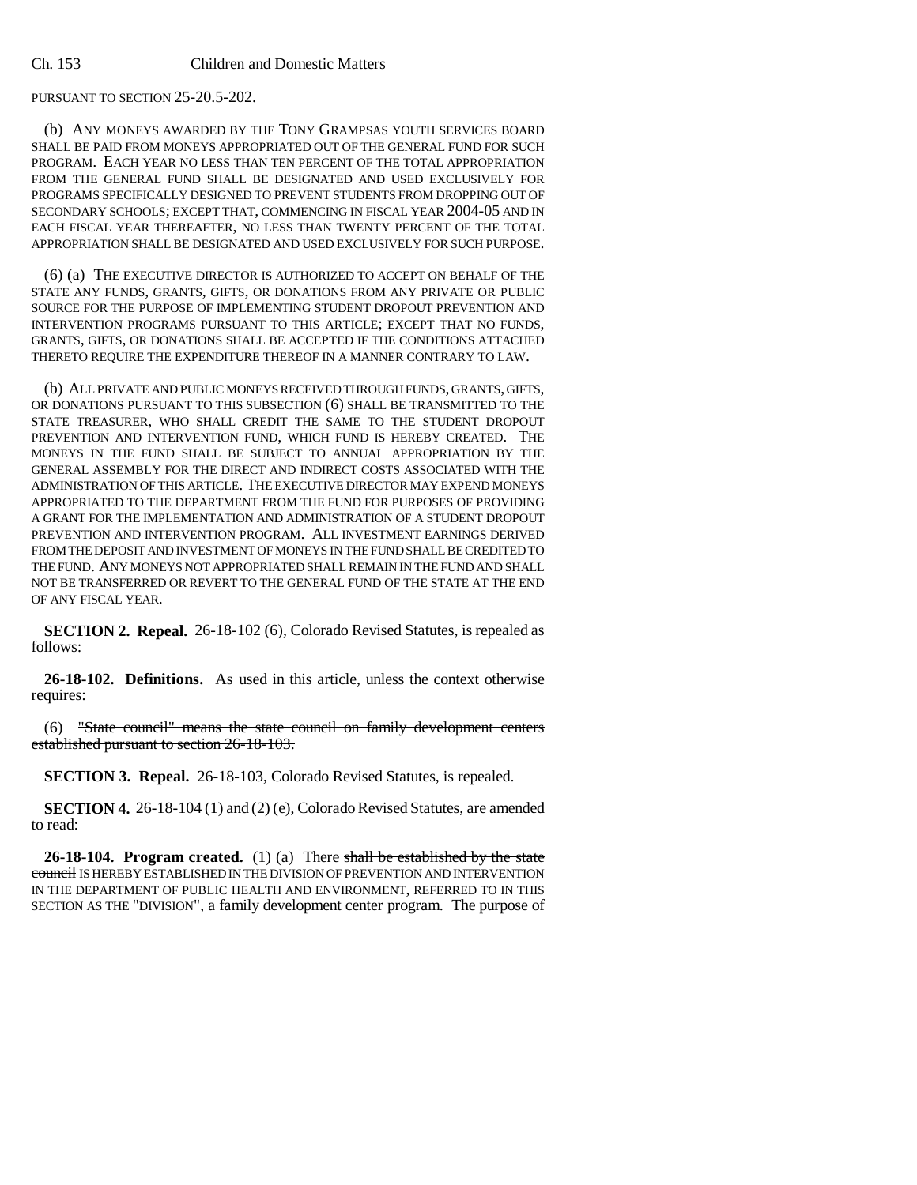# PURSUANT TO SECTION 25-20.5-202.

(b) ANY MONEYS AWARDED BY THE TONY GRAMPSAS YOUTH SERVICES BOARD SHALL BE PAID FROM MONEYS APPROPRIATED OUT OF THE GENERAL FUND FOR SUCH PROGRAM. EACH YEAR NO LESS THAN TEN PERCENT OF THE TOTAL APPROPRIATION FROM THE GENERAL FUND SHALL BE DESIGNATED AND USED EXCLUSIVELY FOR PROGRAMS SPECIFICALLY DESIGNED TO PREVENT STUDENTS FROM DROPPING OUT OF SECONDARY SCHOOLS; EXCEPT THAT, COMMENCING IN FISCAL YEAR 2004-05 AND IN EACH FISCAL YEAR THEREAFTER, NO LESS THAN TWENTY PERCENT OF THE TOTAL APPROPRIATION SHALL BE DESIGNATED AND USED EXCLUSIVELY FOR SUCH PURPOSE.

(6) (a) THE EXECUTIVE DIRECTOR IS AUTHORIZED TO ACCEPT ON BEHALF OF THE STATE ANY FUNDS, GRANTS, GIFTS, OR DONATIONS FROM ANY PRIVATE OR PUBLIC SOURCE FOR THE PURPOSE OF IMPLEMENTING STUDENT DROPOUT PREVENTION AND INTERVENTION PROGRAMS PURSUANT TO THIS ARTICLE; EXCEPT THAT NO FUNDS, GRANTS, GIFTS, OR DONATIONS SHALL BE ACCEPTED IF THE CONDITIONS ATTACHED THERETO REQUIRE THE EXPENDITURE THEREOF IN A MANNER CONTRARY TO LAW.

(b) ALL PRIVATE AND PUBLIC MONEYS RECEIVED THROUGH FUNDS, GRANTS, GIFTS, OR DONATIONS PURSUANT TO THIS SUBSECTION (6) SHALL BE TRANSMITTED TO THE STATE TREASURER, WHO SHALL CREDIT THE SAME TO THE STUDENT DROPOUT PREVENTION AND INTERVENTION FUND, WHICH FUND IS HEREBY CREATED. THE MONEYS IN THE FUND SHALL BE SUBJECT TO ANNUAL APPROPRIATION BY THE GENERAL ASSEMBLY FOR THE DIRECT AND INDIRECT COSTS ASSOCIATED WITH THE ADMINISTRATION OF THIS ARTICLE. THE EXECUTIVE DIRECTOR MAY EXPEND MONEYS APPROPRIATED TO THE DEPARTMENT FROM THE FUND FOR PURPOSES OF PROVIDING A GRANT FOR THE IMPLEMENTATION AND ADMINISTRATION OF A STUDENT DROPOUT PREVENTION AND INTERVENTION PROGRAM. ALL INVESTMENT EARNINGS DERIVED FROM THE DEPOSIT AND INVESTMENT OF MONEYS IN THE FUND SHALL BE CREDITED TO THE FUND. ANY MONEYS NOT APPROPRIATED SHALL REMAIN IN THE FUND AND SHALL NOT BE TRANSFERRED OR REVERT TO THE GENERAL FUND OF THE STATE AT THE END OF ANY FISCAL YEAR.

**SECTION 2. Repeal.** 26-18-102 (6), Colorado Revised Statutes, is repealed as follows:

**26-18-102. Definitions.** As used in this article, unless the context otherwise requires:

(6) "State council" means the state council on family development centers established pursuant to section 26-18-103.

**SECTION 3. Repeal.** 26-18-103, Colorado Revised Statutes, is repealed.

**SECTION 4.** 26-18-104 (1) and (2) (e), Colorado Revised Statutes, are amended to read:

**26-18-104. Program created.** (1) (a) There shall be established by the state council IS HEREBY ESTABLISHED IN THE DIVISION OF PREVENTION AND INTERVENTION IN THE DEPARTMENT OF PUBLIC HEALTH AND ENVIRONMENT, REFERRED TO IN THIS SECTION AS THE "DIVISION", a family development center program. The purpose of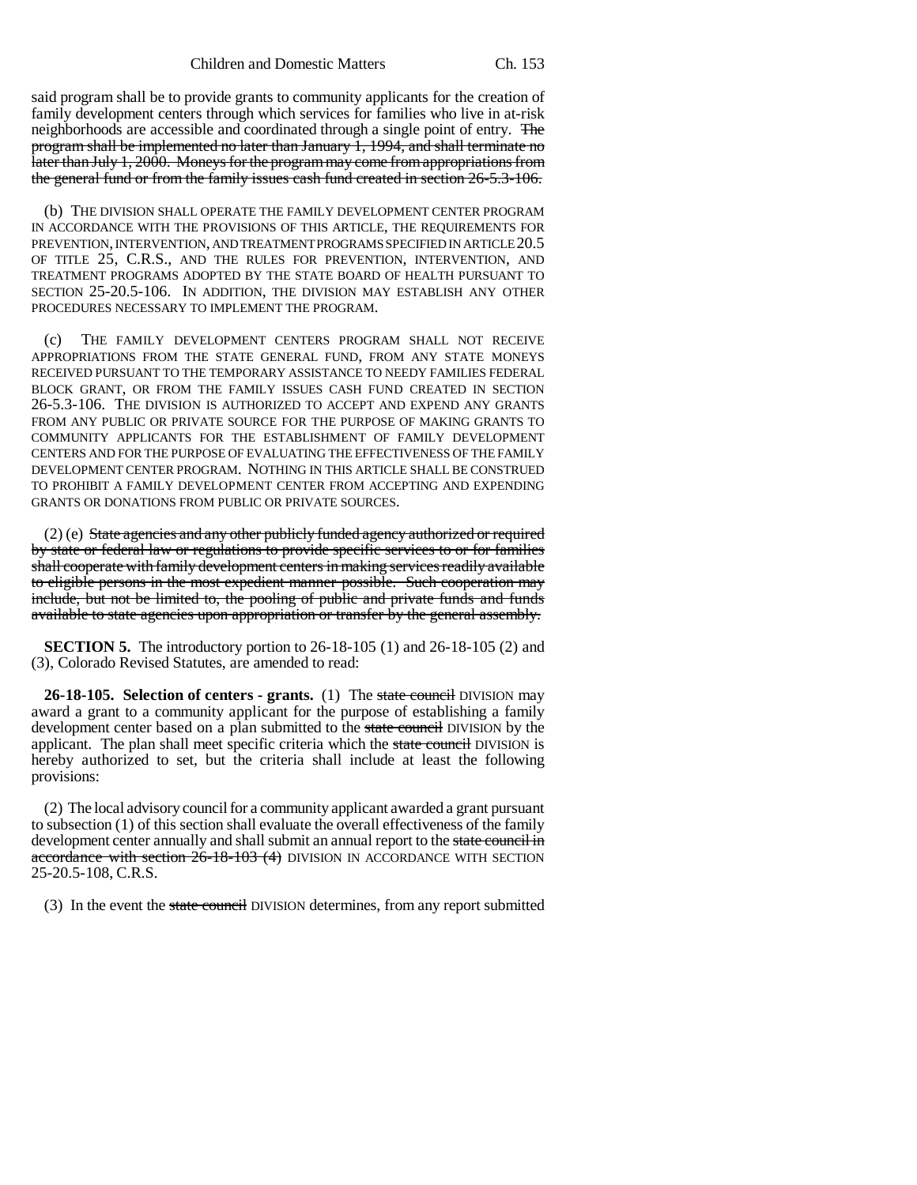said program shall be to provide grants to community applicants for the creation of family development centers through which services for families who live in at-risk neighborhoods are accessible and coordinated through a single point of entry. The program shall be implemented no later than January 1, 1994, and shall terminate no later than July 1, 2000. Moneys for the program may come from appropriations from the general fund or from the family issues cash fund created in section 26-5.3-106.

(b) THE DIVISION SHALL OPERATE THE FAMILY DEVELOPMENT CENTER PROGRAM IN ACCORDANCE WITH THE PROVISIONS OF THIS ARTICLE, THE REQUIREMENTS FOR PREVENTION, INTERVENTION, AND TREATMENT PROGRAMS SPECIFIED IN ARTICLE 20.5 OF TITLE 25, C.R.S., AND THE RULES FOR PREVENTION, INTERVENTION, AND TREATMENT PROGRAMS ADOPTED BY THE STATE BOARD OF HEALTH PURSUANT TO SECTION 25-20.5-106. IN ADDITION, THE DIVISION MAY ESTABLISH ANY OTHER PROCEDURES NECESSARY TO IMPLEMENT THE PROGRAM.

(c) THE FAMILY DEVELOPMENT CENTERS PROGRAM SHALL NOT RECEIVE APPROPRIATIONS FROM THE STATE GENERAL FUND, FROM ANY STATE MONEYS RECEIVED PURSUANT TO THE TEMPORARY ASSISTANCE TO NEEDY FAMILIES FEDERAL BLOCK GRANT, OR FROM THE FAMILY ISSUES CASH FUND CREATED IN SECTION 26-5.3-106. THE DIVISION IS AUTHORIZED TO ACCEPT AND EXPEND ANY GRANTS FROM ANY PUBLIC OR PRIVATE SOURCE FOR THE PURPOSE OF MAKING GRANTS TO COMMUNITY APPLICANTS FOR THE ESTABLISHMENT OF FAMILY DEVELOPMENT CENTERS AND FOR THE PURPOSE OF EVALUATING THE EFFECTIVENESS OF THE FAMILY DEVELOPMENT CENTER PROGRAM. NOTHING IN THIS ARTICLE SHALL BE CONSTRUED TO PROHIBIT A FAMILY DEVELOPMENT CENTER FROM ACCEPTING AND EXPENDING GRANTS OR DONATIONS FROM PUBLIC OR PRIVATE SOURCES.

(2) (e) State agencies and any other publicly funded agency authorized or required by state or federal law or regulations to provide specific services to or for families shall cooperate with family development centers in making services readily available to eligible persons in the most expedient manner possible. Such cooperation may include, but not be limited to, the pooling of public and private funds and funds available to state agencies upon appropriation or transfer by the general assembly.

**SECTION 5.** The introductory portion to 26-18-105 (1) and 26-18-105 (2) and (3), Colorado Revised Statutes, are amended to read:

**26-18-105. Selection of centers - grants.** (1) The state council DIVISION may award a grant to a community applicant for the purpose of establishing a family development center based on a plan submitted to the state council DIVISION by the applicant. The plan shall meet specific criteria which the state council DIVISION is hereby authorized to set, but the criteria shall include at least the following provisions:

(2) The local advisory council for a community applicant awarded a grant pursuant to subsection (1) of this section shall evaluate the overall effectiveness of the family development center annually and shall submit an annual report to the state council in accordance with section 26-18-103 (4) DIVISION IN ACCORDANCE WITH SECTION 25-20.5-108, C.R.S.

(3) In the event the state council DIVISION determines, from any report submitted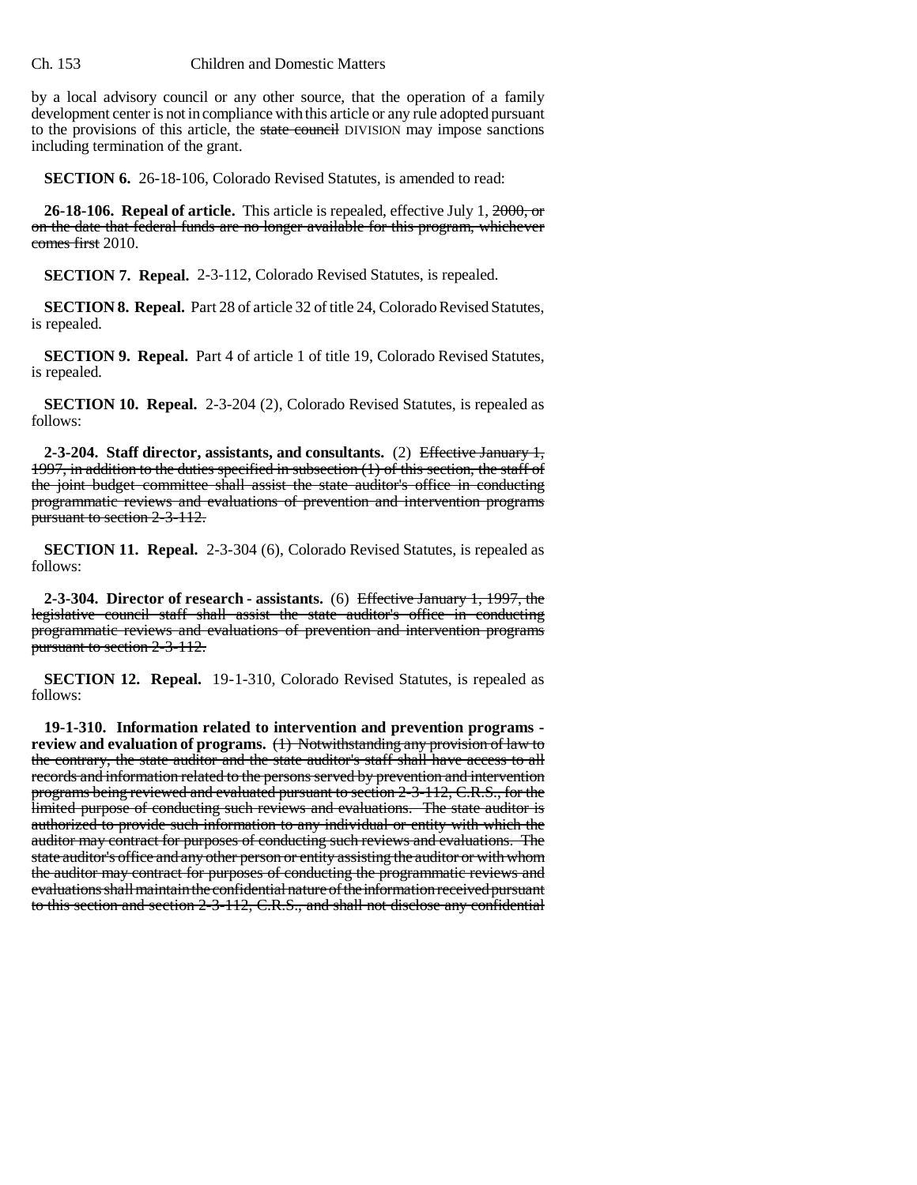by a local advisory council or any other source, that the operation of a family development center is not in compliance with this article or any rule adopted pursuant to the provisions of this article, the state council DIVISION may impose sanctions including termination of the grant.

**SECTION 6.** 26-18-106, Colorado Revised Statutes, is amended to read:

**26-18-106. Repeal of article.** This article is repealed, effective July 1, 2000, or on the date that federal funds are no longer available for this program, whichever comes first 2010.

**SECTION 7. Repeal.** 2-3-112, Colorado Revised Statutes, is repealed.

**SECTION 8. Repeal.** Part 28 of article 32 of title 24, Colorado Revised Statutes, is repealed.

**SECTION 9. Repeal.** Part 4 of article 1 of title 19, Colorado Revised Statutes, is repealed.

**SECTION 10. Repeal.** 2-3-204 (2), Colorado Revised Statutes, is repealed as follows:

**2-3-204. Staff director, assistants, and consultants.** (2) Effective January 1, 1997, in addition to the duties specified in subsection (1) of this section, the staff of the joint budget committee shall assist the state auditor's office in conducting programmatic reviews and evaluations of prevention and intervention programs pursuant to section 2-3-112.

**SECTION 11. Repeal.** 2-3-304 (6), Colorado Revised Statutes, is repealed as follows:

**2-3-304. Director of research - assistants.** (6) Effective January 1, 1997, the legislative council staff shall assist the state auditor's office in conducting programmatic reviews and evaluations of prevention and intervention programs pursuant to section 2-3-112.

**SECTION 12. Repeal.** 19-1-310, Colorado Revised Statutes, is repealed as follows:

**19-1-310. Information related to intervention and prevention programs**  review and evaluation of programs. (1) Notwithstanding any provision of law to the contrary, the state auditor and the state auditor's staff shall have access to all records and information related to the persons served by prevention and intervention programs being reviewed and evaluated pursuant to section 2-3-112, C.R.S., for the limited purpose of conducting such reviews and evaluations. The state auditor is authorized to provide such information to any individual or entity with which the auditor may contract for purposes of conducting such reviews and evaluations. The state auditor's office and any other person or entity assisting the auditor or with whom the auditor may contract for purposes of conducting the programmatic reviews and evaluations shall maintain the confidential nature of the information received pursuant to this section and section 2-3-112, C.R.S., and shall not disclose any confidential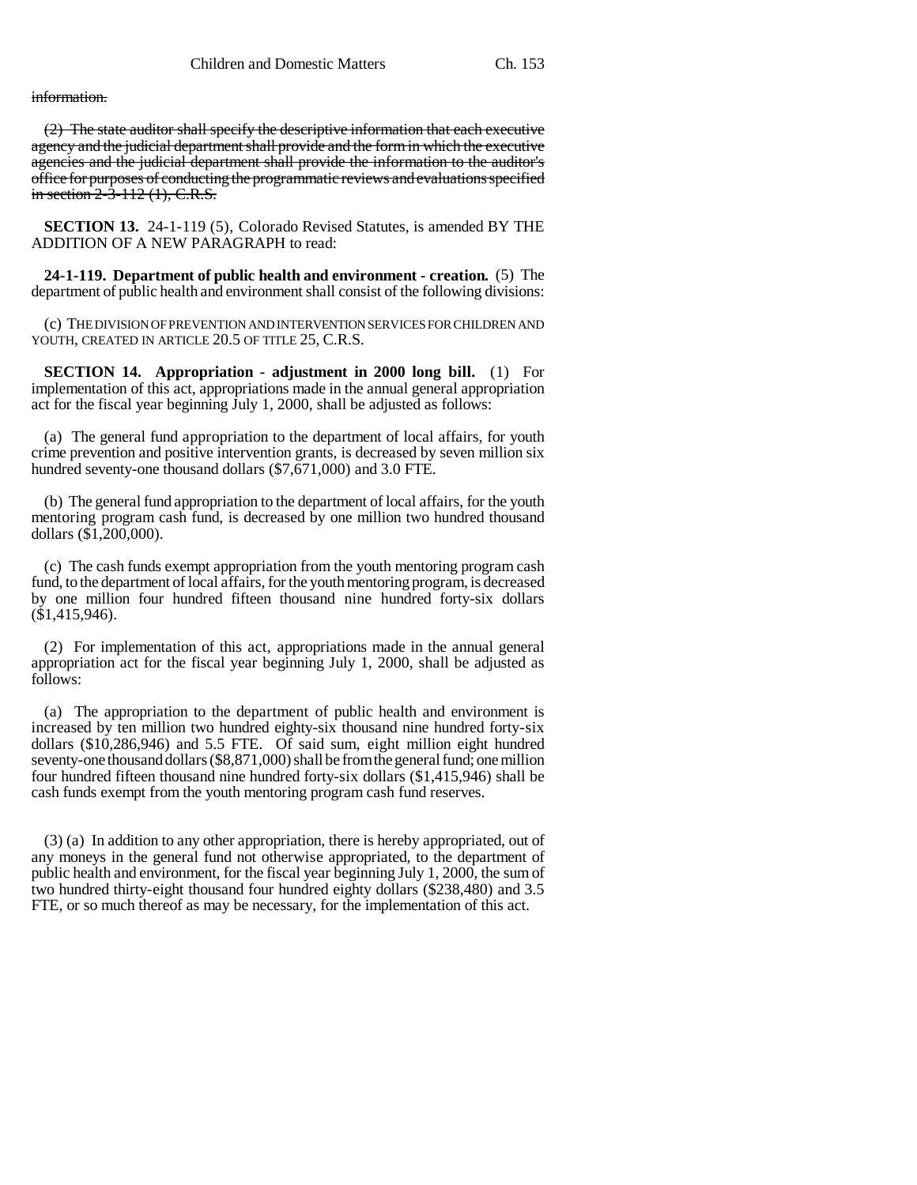## information.

(2) The state auditor shall specify the descriptive information that each executive agency and the judicial department shall provide and the form in which the executive agencies and the judicial department shall provide the information to the auditor's office for purposes of conducting the programmatic reviews and evaluations specified in section 2-3-112 (1), C.R.S.

**SECTION 13.** 24-1-119 (5), Colorado Revised Statutes, is amended BY THE ADDITION OF A NEW PARAGRAPH to read:

**24-1-119. Department of public health and environment - creation.** (5) The department of public health and environment shall consist of the following divisions:

(c) THE DIVISION OF PREVENTION AND INTERVENTION SERVICES FOR CHILDREN AND YOUTH, CREATED IN ARTICLE 20.5 OF TITLE 25, C.R.S.

**SECTION 14. Appropriation - adjustment in 2000 long bill.** (1) For implementation of this act, appropriations made in the annual general appropriation act for the fiscal year beginning July 1, 2000, shall be adjusted as follows:

(a) The general fund appropriation to the department of local affairs, for youth crime prevention and positive intervention grants, is decreased by seven million six hundred seventy-one thousand dollars (\$7,671,000) and 3.0 FTE.

(b) The general fund appropriation to the department of local affairs, for the youth mentoring program cash fund, is decreased by one million two hundred thousand dollars (\$1,200,000).

(c) The cash funds exempt appropriation from the youth mentoring program cash fund, to the department of local affairs, for the youth mentoring program, is decreased by one million four hundred fifteen thousand nine hundred forty-six dollars  $(\$1,415,946).$ 

(2) For implementation of this act, appropriations made in the annual general appropriation act for the fiscal year beginning July 1, 2000, shall be adjusted as follows:

(a) The appropriation to the department of public health and environment is increased by ten million two hundred eighty-six thousand nine hundred forty-six dollars (\$10,286,946) and 5.5 FTE. Of said sum, eight million eight hundred seventy-one thousand dollars (\$8,871,000) shall be from the general fund; one million four hundred fifteen thousand nine hundred forty-six dollars (\$1,415,946) shall be cash funds exempt from the youth mentoring program cash fund reserves.

(3) (a) In addition to any other appropriation, there is hereby appropriated, out of any moneys in the general fund not otherwise appropriated, to the department of public health and environment, for the fiscal year beginning July 1, 2000, the sum of two hundred thirty-eight thousand four hundred eighty dollars (\$238,480) and 3.5 FTE, or so much thereof as may be necessary, for the implementation of this act.